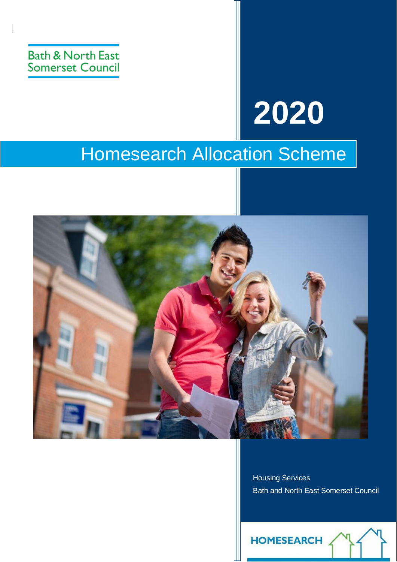**Bath & North East Somerset Council** 

# **2020**

# Homesearch Allocation Scheme



Housing Services Bath and North East Somerset Council

**HOMESEARCH**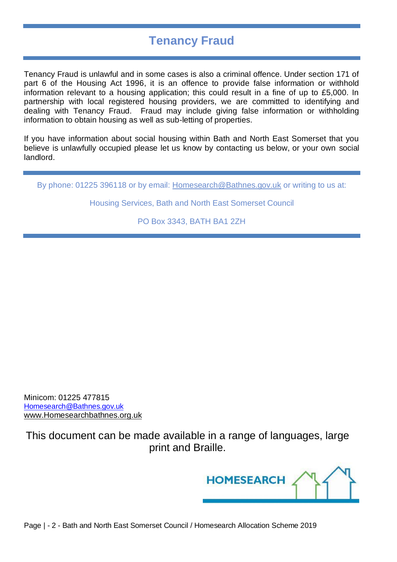# **Tenancy Fraud**

Tenancy Fraud is unlawful and in some cases is also a criminal offence. Under section 171 of part 6 of the Housing Act 1996, it is an offence to provide false information or withhold information relevant to a housing application; this could result in a fine of up to £5,000. In partnership with local registered housing providers, we are committed to identifying and dealing with Tenancy Fraud. Fraud may include giving false information or withholding information to obtain housing as well as sub-letting of properties.

If you have information about social housing within Bath and North East Somerset that you believe is unlawfully occupied please let us know by contacting us below, or your own social landlord.

By phone: 01225 396118 or by email: [Homesearch@Bathnes.gov.uk](mailto:Homesearch@Bathnes.gov.uk) or writing to us at:

Housing Services, Bath and North East Somerset Council

PO Box 3343, BATH BA1 2ZH

Minicom: 01225 477815 [Homesearch@Bathnes.gov.uk](mailto:Homesearch@Bathnes.gov.uk) [www.Homesearchbathnes.org.uk](http://www.homesearchbathnes.org.uk/)

This document can be made available in a range of languages, large print and Braille.

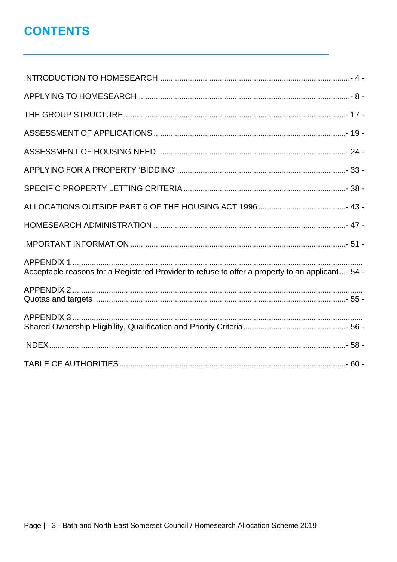# **CONTENTS**

| Acceptable reasons for a Registered Provider to refuse to offer a property to an applicant- 54 - |
|--------------------------------------------------------------------------------------------------|
|                                                                                                  |
|                                                                                                  |
|                                                                                                  |
|                                                                                                  |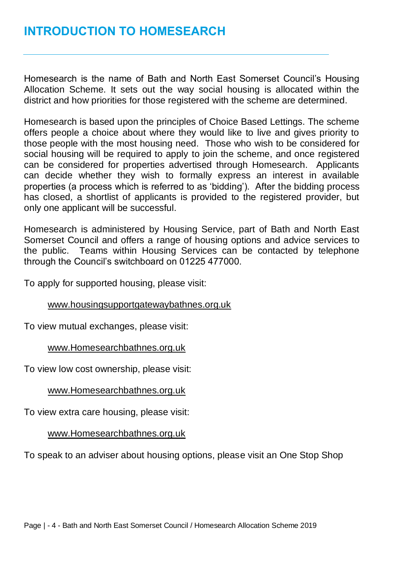<span id="page-3-0"></span>Homesearch is the name of Bath and North East Somerset Council's Housing Allocation Scheme. It sets out the way social housing is allocated within the district and how priorities for those registered with the scheme are determined.

Homesearch is based upon the principles of Choice Based Lettings. The scheme offers people a choice about where they would like to live and gives priority to those people with the most housing need. Those who wish to be considered for social housing will be required to apply to join the scheme, and once registered can be considered for properties advertised through Homesearch. Applicants can decide whether they wish to formally express an interest in available properties (a process which is referred to as 'bidding'). After the bidding process has closed, a shortlist of applicants is provided to the registered provider, but only one applicant will be successful.

Homesearch is administered by Housing Service, part of Bath and North East Somerset Council and offers a range of housing options and advice services to the public. Teams within Housing Services can be contacted by telephone through the Council's switchboard on 01225 477000.

To apply for supported housing, please visit:

[www.housingsupportgatewaybathnes.org.uk](http://www.housingsupportgatewaybathnes.org.uk/)

To view mutual exchanges, please visit:

[www.Homesearchbathnes.org.uk](http://www.homesearchbathnes.org.uk/)

To view low cost ownership, please visit:

[www.Homesearchbathnes.org.uk](http://www.homesearchbathnes.org.uk/)

To view extra care housing, please visit:

[www.Homesearchbathnes.org.uk](http://www.homesearchbathnes.org.uk/)

To speak to an adviser about housing options, please visit an One Stop Shop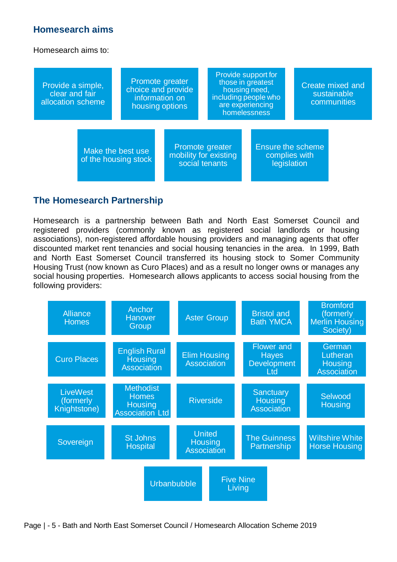# **Homesearch aims**

Homesearch aims to:

| Provide a simple,<br>clear and fair<br>allocation scheme | Promote greater<br>choice and provide<br>information on<br>housing options |                                           |  | Provide support for<br>those in greatest<br>housing need,<br>including people who<br>are experiencing<br>homelessness |  |  | Create mixed and<br>sustainable<br>communities    |  |  |
|----------------------------------------------------------|----------------------------------------------------------------------------|-------------------------------------------|--|-----------------------------------------------------------------------------------------------------------------------|--|--|---------------------------------------------------|--|--|
|                                                          |                                                                            | Make the best use<br>of the housing stock |  | Promote greater<br>mobility for existing<br>social tenants                                                            |  |  | Ensure the scheme<br>complies with<br>legislation |  |  |

# **The Homesearch Partnership**

Homesearch is a partnership between Bath and North East Somerset Council and registered providers (commonly known as registered social landlords or housing associations), non-registered affordable housing providers and managing agents that offer discounted market rent tenancies and social housing tenancies in the area. In 1999, Bath and North East Somerset Council transferred its housing stock to Somer Community Housing Trust (now known as Curo Places) and as a result no longer owns or manages any social housing properties. Homesearch allows applicants to access social housing from the following providers:



Page | - 5 - Bath and North East Somerset Council / Homesearch Allocation Scheme 2019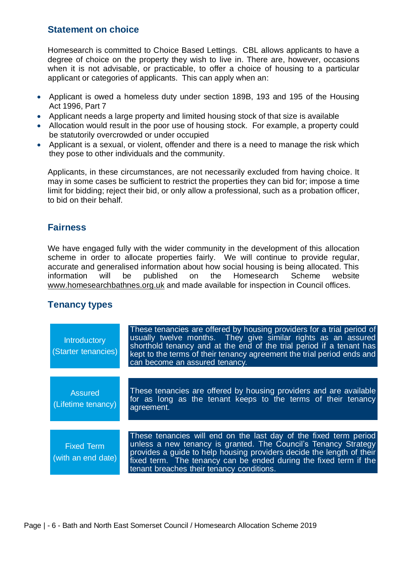# **Statement on choice**

Homesearch is committed to Choice Based Lettings. CBL allows applicants to have a degree of choice on the property they wish to live in. There are, however, occasions when it is not advisable, or practicable, to offer a choice of housing to a particular applicant or categories of applicants. This can apply when an:

- Applicant is owed a homeless duty under section 189B, 193 and 195 of the Housing Act 1996, Part 7
- Applicant needs a large property and limited housing stock of that size is available
- Allocation would result in the poor use of housing stock. For example, a property could be statutorily overcrowded or under occupied
- Applicant is a sexual, or violent, offender and there is a need to manage the risk which they pose to other individuals and the community.

Applicants, in these circumstances, are not necessarily excluded from having choice. It may in some cases be sufficient to restrict the properties they can bid for; impose a time limit for bidding; reject their bid, or only allow a professional, such as a probation officer, to bid on their behalf.

# **Fairness**

We have engaged fully with the wider community in the development of this allocation scheme in order to allocate properties fairly. We will continue to provide regular, accurate and generalised information about how social housing is being allocated. This information will be published on the Homesearch Scheme website [www.homesearchbathnes.org.uk](http://www.homesearchbathnes.org.uk/) and made available for inspection in Council offices.

# **Tenancy types**

| <b>Introductory</b><br>(Starter tenancies) | These tenancies are offered by housing providers for a trial period of<br>usually twelve months. They give similar rights as an assured<br>shorthold tenancy and at the end of the trial period if a tenant has<br>kept to the terms of their tenancy agreement the trial period ends and<br>can become an assured tenancy.     |
|--------------------------------------------|---------------------------------------------------------------------------------------------------------------------------------------------------------------------------------------------------------------------------------------------------------------------------------------------------------------------------------|
| <b>Assured</b><br>(Lifetime tenancy)       | These tenancies are offered by housing providers and are available<br>for as long as the tenant keeps to the terms of their tenancy<br>agreement.                                                                                                                                                                               |
| <b>Fixed Term</b><br>(with an end date)    | These tenancies will end on the last day of the fixed term period<br>unless a new tenancy is granted. The Council's Tenancy Strategy<br>provides a guide to help housing providers decide the length of their<br>fixed term. The tenancy can be ended during the fixed term if the<br>tenant breaches their tenancy conditions. |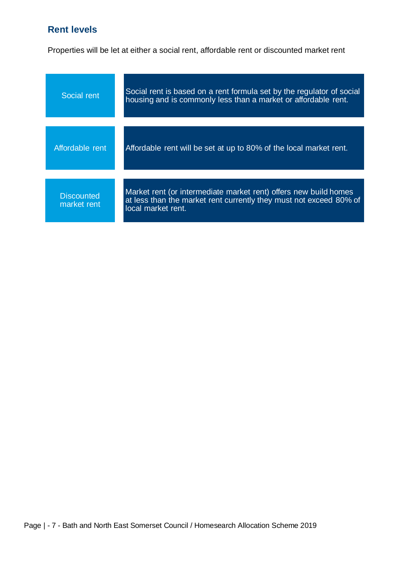# **Rent levels**

Properties will be let at either a social rent, affordable rent or discounted market rent

| Social rent                      | Social rent is based on a rent formula set by the regulator of social<br>housing and is commonly less than a market or affordable rent.                      |
|----------------------------------|--------------------------------------------------------------------------------------------------------------------------------------------------------------|
| Affordable rent                  | Affordable rent will be set at up to 80% of the local market rent.                                                                                           |
|                                  |                                                                                                                                                              |
| <b>Discounted</b><br>market rent | Market rent (or intermediate market rent) offers new build homes<br>at less than the market rent currently they must not exceed 80% of<br>local market rent. |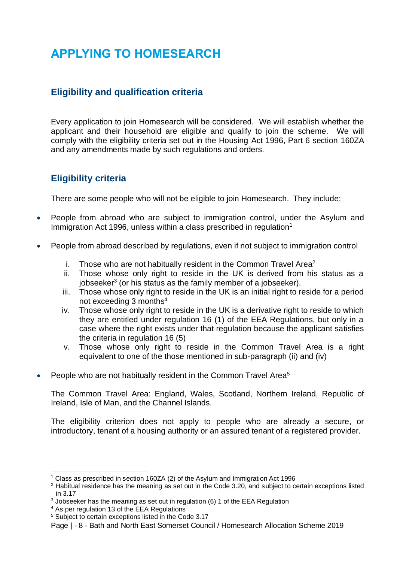# <span id="page-7-0"></span>**APPLYING TO HOMESEARCH**

# **Eligibility and qualification criteria**

Every application to join Homesearch will be considered. We will establish whether the applicant and their household are eligible and qualify to join the scheme. We will comply with the eligibility criteria set out in the Housing Act 1996, Part 6 section 160ZA and any amendments made by such regulations and orders.

# **Eligibility criteria**

There are some people who will not be eligible to join Homesearch. They include:

- People from abroad who are subject to immigration control, under the Asylum and Immigration Act 1996, unless within a class prescribed in regulation<sup>1</sup>
- People from abroad described by regulations, even if not subject to immigration control
	- i. Those who are not habitually resident in the Common Travel Area<sup>2</sup>
	- ii. Those whose only right to reside in the UK is derived from his status as a jobseeker<sup>3</sup> (or his status as the family member of a jobseeker).
	- iii. Those whose only right to reside in the UK is an initial right to reside for a period not exceeding 3 months $4$
	- iv. Those whose only right to reside in the UK is a derivative right to reside to which they are entitled under regulation 16 (1) of the EEA Regulations, but only in a case where the right exists under that regulation because the applicant satisfies the criteria in regulation 16 (5)
	- v. Those whose only right to reside in the Common Travel Area is a right equivalent to one of the those mentioned in sub-paragraph (ii) and (iv)
- People who are not habitually resident in the Common Travel Area<sup>5</sup>

The Common Travel Area: England, Wales, Scotland, Northern Ireland, Republic of Ireland, Isle of Man, and the Channel Islands.

The eligibility criterion does not apply to people who are already a secure, or introductory, tenant of a housing authority or an assured tenant of a registered provider.

<sup>1</sup> Class as prescribed in section 160ZA (2) of the Asylum and Immigration Act 1996

 $2$  Habitual residence has the meaning as set out in the Code 3.20, and subject to certain exceptions listed in 3.17

 $3$  Jobseeker has the meaning as set out in regulation (6) 1 of the EEA Regulation

<sup>4</sup> As per regulation 13 of the EEA Regulations

<sup>5</sup> Subject to certain exceptions listed in the Code 3.17

Page | - 8 - Bath and North East Somerset Council / Homesearch Allocation Scheme 2019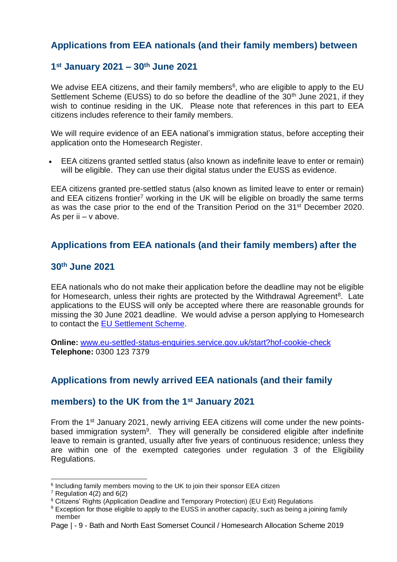# **Applications from EEA nationals (and their family members) between**

# **1 st January 2021 – 30th June 2021**

We advise EEA citizens, and their family members<sup>6</sup>, who are eligible to apply to the EU Settlement Scheme (EUSS) to do so before the deadline of the  $30<sup>th</sup>$  June 2021, if they wish to continue residing in the UK. Please note that references in this part to EEA citizens includes reference to their family members.

We will require evidence of an EEA national's immigration status, before accepting their application onto the Homesearch Register.

• EEA citizens granted settled status (also known as indefinite leave to enter or remain) will be eligible. They can use their digital status under the EUSS as evidence.

EEA citizens granted pre-settled status (also known as limited leave to enter or remain) and EEA citizens frontier<sup>7</sup> working in the UK will be eligible on broadly the same terms as was the case prior to the end of the Transition Period on the 31<sup>st</sup> December 2020. As per ii – v above.

# **Applications from EEA nationals (and their family members) after the**

# **30th June 2021**

EEA nationals who do not make their application before the deadline may not be eligible for Homesearch, unless their rights are protected by the Withdrawal Agreement<sup>8</sup>. Late applications to the EUSS will only be accepted where there are reasonable grounds for missing the 30 June 2021 deadline. We would advise a person applying to Homesearch to contact the [EU Settlement Scheme.](http://www.gov.uk/settled-status-eu-citizens-families/applying-for-settled-status)

**Online:** [www.eu-settled-status-enquiries.service.gov.uk/start?hof-cookie-check](http://www.eu-settled-status-enquiries.service.gov.uk/start?hof-cookie-check) **Telephone:** 0300 123 7379

# **Applications from newly arrived EEA nationals (and their family**

# **members) to the UK from the 1st January 2021**

From the 1<sup>st</sup> January 2021, newly arriving EEA citizens will come under the new pointsbased immigration system<sup>9</sup>. They will generally be considered eligible after indefinite leave to remain is granted, usually after five years of continuous residence; unless they are within one of the exempted categories under regulation 3 of the Eligibility Regulations.

<sup>&</sup>lt;sup>6</sup> Including family members moving to the UK to join their sponsor EEA citizen

 $7$  Regulation 4(2) and 6(2)

<sup>8</sup> Citizens' Rights (Application Deadline and Temporary Protection) (EU Exit) Regulations

<sup>&</sup>lt;sup>9</sup> Exception for those eligible to apply to the EUSS in another capacity, such as being a joining family member

Page | - 9 - Bath and North East Somerset Council / Homesearch Allocation Scheme 2019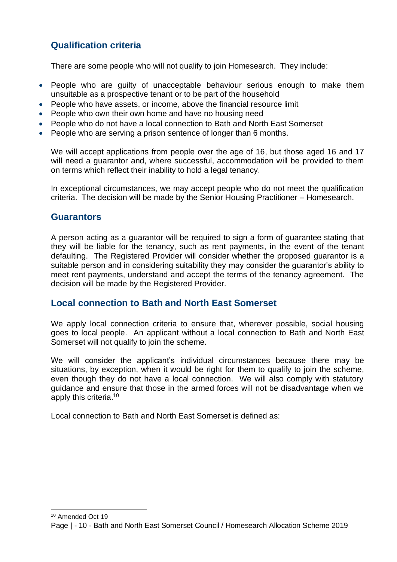# **Qualification criteria**

There are some people who will not qualify to join Homesearch. They include:

- People who are guilty of unacceptable behaviour serious enough to make them unsuitable as a prospective tenant or to be part of the household
- People who have assets, or income, above the financial resource limit
- People who own their own home and have no housing need
- People who do not have a local connection to Bath and North East Somerset
- People who are serving a prison sentence of longer than 6 months.

We will accept applications from people over the age of 16, but those aged 16 and 17 will need a guarantor and, where successful, accommodation will be provided to them on terms which reflect their inability to hold a legal tenancy.

In exceptional circumstances, we may accept people who do not meet the qualification criteria. The decision will be made by the Senior Housing Practitioner – Homesearch.

# **Guarantors**

A person acting as a guarantor will be required to sign a form of guarantee stating that they will be liable for the tenancy, such as rent payments, in the event of the tenant defaulting. The Registered Provider will consider whether the proposed guarantor is a suitable person and in considering suitability they may consider the guarantor's ability to meet rent payments, understand and accept the terms of the tenancy agreement. The decision will be made by the Registered Provider.

# **Local connection to Bath and North East Somerset**

We apply local connection criteria to ensure that, wherever possible, social housing goes to local people. An applicant without a local connection to Bath and North East Somerset will not qualify to join the scheme.

We will consider the applicant's individual circumstances because there may be situations, by exception, when it would be right for them to qualify to join the scheme, even though they do not have a local connection. We will also comply with statutory guidance and ensure that those in the armed forces will not be disadvantage when we apply this criteria.<sup>10</sup>

Local connection to Bath and North East Somerset is defined as: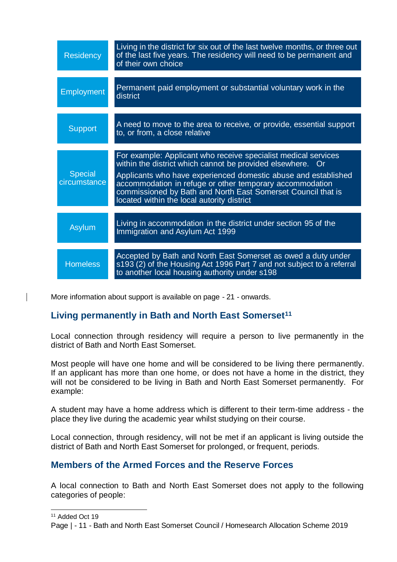| <b>Residency</b>               | Living in the district for six out of the last twelve months, or three out<br>of the last five years. The residency will need to be permanent and<br>of their own choice                                                                                                                                                                                                 |
|--------------------------------|--------------------------------------------------------------------------------------------------------------------------------------------------------------------------------------------------------------------------------------------------------------------------------------------------------------------------------------------------------------------------|
| <b>Employment</b>              | Permanent paid employment or substantial voluntary work in the<br>district                                                                                                                                                                                                                                                                                               |
| <b>Support</b>                 | A need to move to the area to receive, or provide, essential support<br>to, or from, a close relative                                                                                                                                                                                                                                                                    |
| <b>Special</b><br>circumstance | For example: Applicant who receive specialist medical services<br>within the district which cannot be provided elsewhere. Or<br>Applicants who have experienced domestic abuse and established<br>accommodation in refuge or other temporary accommodation<br>commissioned by Bath and North East Somerset Council that is<br>located within the local autority district |
| Asylum                         | Living in accommodation in the district under section 95 of the<br>Immigration and Asylum Act 1999                                                                                                                                                                                                                                                                       |
| <b>Homeless</b>                | Accepted by Bath and North East Somerset as owed a duty under<br>s193 (2) of the Housing Act 1996 Part 7 and not subject to a referral<br>to another local housing authority under s198                                                                                                                                                                                  |

More information about support is available on page - [21 -](#page-20-0) onwards.

# **Living permanently in Bath and North East Somerset<sup>11</sup>**

Local connection through residency will require a person to live permanently in the district of Bath and North East Somerset.

Most people will have one home and will be considered to be living there permanently. If an applicant has more than one home, or does not have a home in the district, they will not be considered to be living in Bath and North East Somerset permanently. For example:

A student may have a home address which is different to their term-time address - the place they live during the academic year whilst studying on their course.

Local connection, through residency, will not be met if an applicant is living outside the district of Bath and North East Somerset for prolonged, or frequent, periods.

# **Members of the Armed Forces and the Reserve Forces**

A local connection to Bath and North East Somerset does not apply to the following categories of people:

 $\mathsf{I}$ 

<sup>&</sup>lt;sup>11</sup> Added Oct 19

Page | - 11 - Bath and North East Somerset Council / Homesearch Allocation Scheme 2019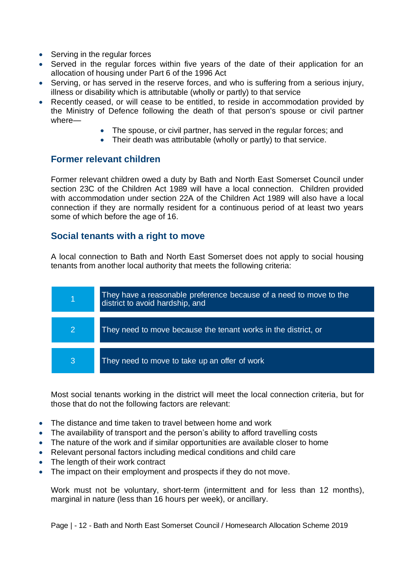- Serving in the regular forces
- Served in the regular forces within five years of the date of their application for an allocation of housing under [Part 6](http://login.westlaw.co.uk/maf/wluk/app/document?src=doc&linktype=ref&&context=17&crumb-action=replace&docguid=I295B2780E44F11DA8D70A0E70A78ED65) of the 1996 Act
- Serving, or has served in the reserve forces, and who is suffering from a serious injury, illness or disability which is attributable (wholly or partly) to that service
- Recently ceased, or will cease to be entitled, to reside in accommodation provided by the Ministry of Defence following the death of that person's spouse or civil partner where—
	- The spouse, or civil partner, has served in the regular forces; and
	- Their death was attributable (wholly or partly) to that service.

# **Former relevant children**

Former relevant children owed a duty by Bath and North East Somerset Council under section 23C of the Children Act 1989 will have a local connection. Children provided with accommodation under section 22A of the Children Act 1989 will also have a local connection if they are normally resident for a continuous period of at least two years some of which before the age of 16.

# **Social tenants with a right to move**

A local connection to Bath and North East Somerset does not apply to social housing tenants from another local authority that meets the following criteria:



Most social tenants working in the district will meet the local connection criteria, but for those that do not the following factors are relevant:

- The distance and time taken to travel between home and work
- The availability of transport and the person's ability to afford travelling costs
- The nature of the work and if similar opportunities are available closer to home
- Relevant personal factors including medical conditions and child care
- The length of their work contract
- The impact on their employment and prospects if they do not move.

Work must not be voluntary, short-term (intermittent and for less than 12 months), marginal in nature (less than 16 hours per week), or ancillary.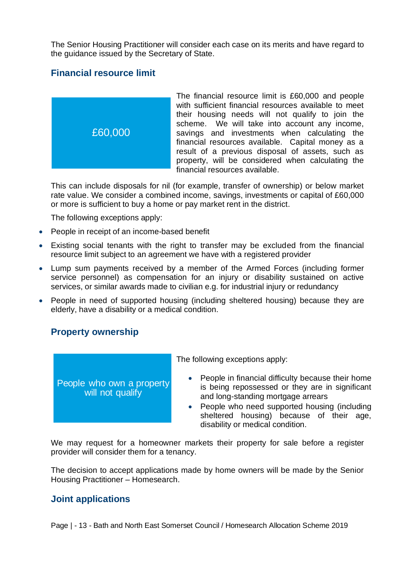The Senior Housing Practitioner will consider each case on its merits and have regard to the guidance issued by the Secretary of State.

# **Financial resource limit**



The financial resource limit is £60,000 and people with sufficient financial resources available to meet their housing needs will not qualify to join the scheme. We will take into account any income, savings and investments when calculating the financial resources available. Capital money as a result of a previous disposal of assets, such as property, will be considered when calculating the financial resources available.

This can include disposals for nil (for example, transfer of ownership) or below market rate value. We consider a combined income, savings, investments or capital of £60,000 or more is sufficient to buy a home or pay market rent in the district.

The following exceptions apply:

- People in receipt of an income-based benefit
- Existing social tenants with the right to transfer may be excluded from the financial resource limit subject to an agreement we have with a registered provider
- Lump sum payments received by a member of the Armed Forces (including former service personnel) as compensation for an injury or disability sustained on active services, or similar awards made to civilian e.g. for industrial injury or redundancy
- People in need of supported housing (including sheltered housing) because they are elderly, have a disability or a medical condition.

# **Property ownership**

People who own a property will not qualify

The following exceptions apply:

- People in financial difficulty because their home is being repossessed or they are in significant and long-standing mortgage arrears
- People who need supported housing (including sheltered housing) because of their age, disability or medical condition.

We may request for a homeowner markets their property for sale before a register provider will consider them for a tenancy.

The decision to accept applications made by home owners will be made by the Senior Housing Practitioner – Homesearch.

# **Joint applications**

Page | - 13 - Bath and North East Somerset Council / Homesearch Allocation Scheme 2019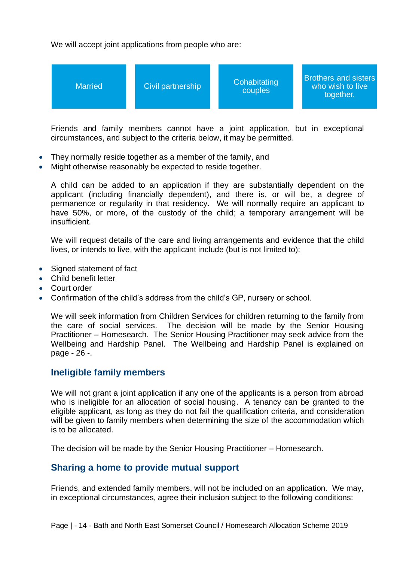We will accept joint applications from people who are:



Friends and family members cannot have a joint application, but in exceptional circumstances, and subject to the criteria below, it may be permitted.

- They normally reside together as a member of the family, and
- Might otherwise reasonably be expected to reside together.

A child can be added to an application if they are substantially dependent on the applicant (including financially dependent), and there is, or will be, a degree of permanence or regularity in that residency. We will normally require an applicant to have 50%, or more, of the custody of the child; a temporary arrangement will be insufficient.

We will request details of the care and living arrangements and evidence that the child lives, or intends to live, with the applicant include (but is not limited to):

- Signed statement of fact
- Child benefit letter
- Court order
- Confirmation of the child's address from the child's GP, nursery or school.

We will seek information from Children Services for children returning to the family from the care of social services. The decision will be made by the Senior Housing Practitioner – Homesearch. The Senior Housing Practitioner may seek advice from the Wellbeing and Hardship Panel. The Wellbeing and Hardship Panel is explained on page - [26 -.](#page-25-0)

# **Ineligible family members**

We will not grant a joint application if any one of the applicants is a person from abroad who is ineligible for an allocation of social housing. A tenancy can be granted to the eligible applicant, as long as they do not fail the qualification criteria, and consideration will be given to family members when determining the size of the accommodation which is to be allocated.

The decision will be made by the Senior Housing Practitioner – Homesearch.

# **Sharing a home to provide mutual support**

Friends, and extended family members, will not be included on an application. We may, in exceptional circumstances, agree their inclusion subject to the following conditions: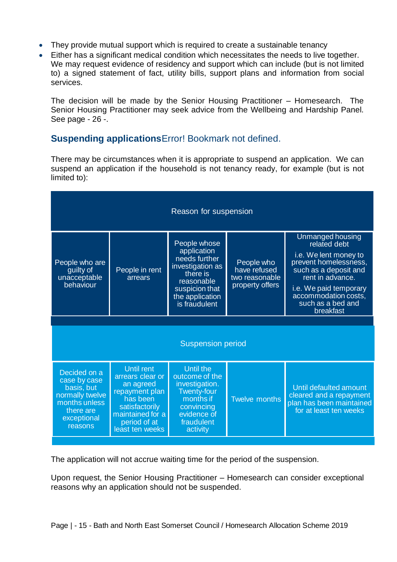- They provide mutual support which is required to create a sustainable tenancy
- Either has a significant medical condition which necessitates the needs to live together. We may request evidence of residency and support which can include (but is not limited to) a signed statement of fact, utility bills, support plans and information from social services.

The decision will be made by the Senior Housing Practitioner – Homesearch. The Senior Housing Practitioner may seek advice from the Wellbeing and Hardship Panel. See page - [26 -.](#page-25-0)

# **Suspending applications**Error! Bookmark not defined.

There may be circumstances when it is appropriate to suspend an application. We can suspend an application if the household is not tenancy ready, for example (but is not limited to):

| Reason for suspension                                                                                                 |                                                                                                                                                                                                                                                                                                             |                                                                                                                                                  |                                                                 |                                                                                                                                                                                                                     |  |  |  |
|-----------------------------------------------------------------------------------------------------------------------|-------------------------------------------------------------------------------------------------------------------------------------------------------------------------------------------------------------------------------------------------------------------------------------------------------------|--------------------------------------------------------------------------------------------------------------------------------------------------|-----------------------------------------------------------------|---------------------------------------------------------------------------------------------------------------------------------------------------------------------------------------------------------------------|--|--|--|
| People who are<br>guilty of<br>unacceptable<br>behaviour                                                              | People in rent<br>arrears                                                                                                                                                                                                                                                                                   | People whose<br>application<br>needs further<br>investigation as<br>there is<br>reasonable<br>suspicion that<br>the application<br>is fraudulent | People who<br>have refused<br>two reasonable<br>property offers | Unmanged housing<br>related debt<br>i.e. We lent money to<br>prevent homelessness,<br>such as a deposit and<br>rent in advance.<br>i.e. We paid temporary<br>accommodation costs,<br>such as a bed and<br>breakfast |  |  |  |
|                                                                                                                       |                                                                                                                                                                                                                                                                                                             | <b>Suspension period</b>                                                                                                                         |                                                                 |                                                                                                                                                                                                                     |  |  |  |
| Decided on a<br>case by case<br>basis, but<br>normally twelve<br>months unless<br>there are<br>exceptional<br>reasons | <b>Until rent</b><br><b>Until the</b><br>arrears clear or<br>outcome of the<br>investigation.<br>an agreed<br><b>Twenty-four</b><br>repayment plan<br>has been<br>months if<br>satisfactorily<br>convincing<br>evidence of<br>maintained for a<br>fraudulent<br>period of at<br>least ten weeks<br>activity |                                                                                                                                                  | <b>Twelve months</b>                                            | Until defaulted amount<br>cleared and a repayment<br>plan has been maintained<br>for at least ten weeks                                                                                                             |  |  |  |

The application will not accrue waiting time for the period of the suspension.

Upon request, the Senior Housing Practitioner – Homesearch can consider exceptional reasons why an application should not be suspended.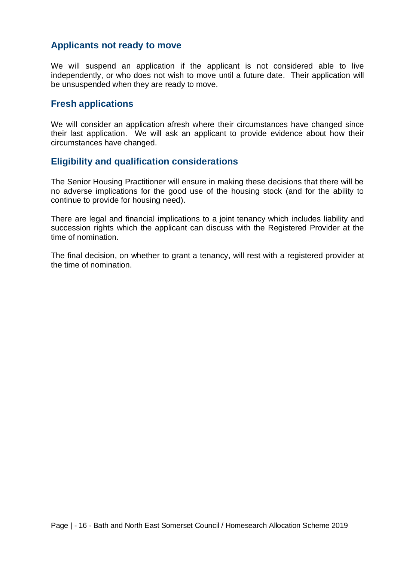# **Applicants not ready to move**

We will suspend an application if the applicant is not considered able to live independently, or who does not wish to move until a future date. Their application will be unsuspended when they are ready to move.

# **Fresh applications**

We will consider an application afresh where their circumstances have changed since their last application. We will ask an applicant to provide evidence about how their circumstances have changed.

# **Eligibility and qualification considerations**

The Senior Housing Practitioner will ensure in making these decisions that there will be no adverse implications for the good use of the housing stock (and for the ability to continue to provide for housing need).

There are legal and financial implications to a joint tenancy which includes liability and succession rights which the applicant can discuss with the Registered Provider at the time of nomination.

The final decision, on whether to grant a tenancy, will rest with a registered provider at the time of nomination.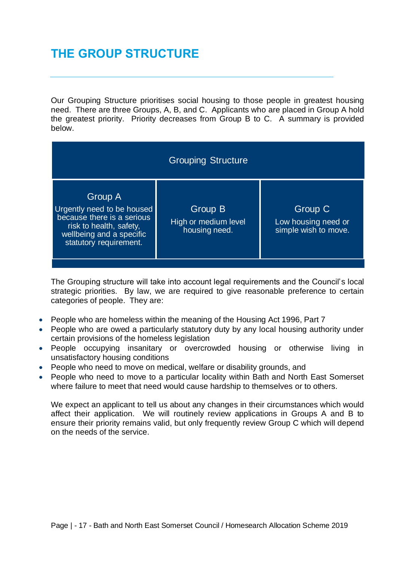# <span id="page-16-0"></span>**THE GROUP STRUCTURE**

Our Grouping Structure prioritises social housing to those people in greatest housing need. There are three Groups, A, B, and C. Applicants who are placed in Group A hold the greatest priority. Priority decreases from Group B to C. A summary is provided below.

| <b>Grouping Structure</b>                                                                                                                            |                                                         |                                                        |  |  |  |  |  |  |
|------------------------------------------------------------------------------------------------------------------------------------------------------|---------------------------------------------------------|--------------------------------------------------------|--|--|--|--|--|--|
| Group A<br>Urgently need to be housed<br>because there is a serious<br>risk to health, safety,<br>wellbeing and a specific<br>statutory requirement. | <b>Group B</b><br>High or medium level<br>housing need. | Group C<br>Low housing need or<br>simple wish to move. |  |  |  |  |  |  |

The Grouping structure will take into account legal requirements and the Council's local strategic priorities. By law, we are required to give reasonable preference to certain categories of people. They are:

- People who are homeless within the meaning of the Housing Act 1996, Part 7
- People who are owed a particularly statutory duty by any local housing authority under certain provisions of the homeless legislation
- People occupying insanitary or overcrowded housing or otherwise living in unsatisfactory housing conditions
- People who need to move on medical, welfare or disability grounds, and
- People who need to move to a particular locality within Bath and North East Somerset where failure to meet that need would cause hardship to themselves or to others.

We expect an applicant to tell us about any changes in their circumstances which would affect their application. We will routinely review applications in Groups A and B to ensure their priority remains valid, but only frequently review Group C which will depend on the needs of the service.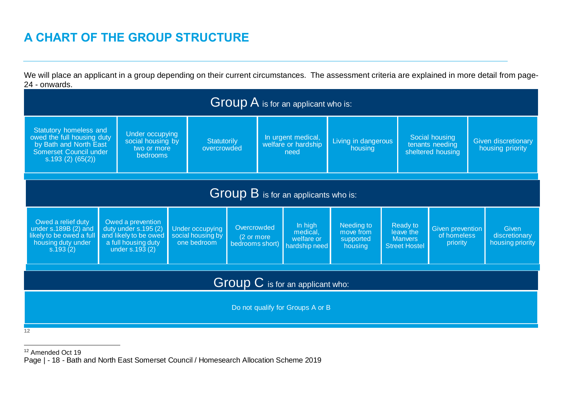# **A CHART OF THE GROUP STRUCTURE**

We will place an applicant in a group depending on their current circumstances. The assessment criteria are explained in more detail from pag[e-](#page-23-1)[24 -](#page-23-1) onwards.

| <b>Group A</b> is for an applicant who is:                                                                                  |                                                                                                                |                                                                 |                                                                                                            |                            |  |                                                    |                                                 |                                                                 |  |                                                        |  |                                                   |  |
|-----------------------------------------------------------------------------------------------------------------------------|----------------------------------------------------------------------------------------------------------------|-----------------------------------------------------------------|------------------------------------------------------------------------------------------------------------|----------------------------|--|----------------------------------------------------|-------------------------------------------------|-----------------------------------------------------------------|--|--------------------------------------------------------|--|---------------------------------------------------|--|
| Statutory homeless and<br>owed the full housing duty<br>by Bath and North East<br>Somerset Council under<br>s.193(2)(65(2)) |                                                                                                                | Under occupying<br>social housing by<br>two or more<br>bedrooms |                                                                                                            | Statutorily<br>overcrowded |  | In urgent medical,<br>welfare or hardship<br>need  |                                                 | Living in dangerous<br>housing                                  |  | Social housing<br>tenants needing<br>sheltered housing |  | <b>Given discretionary</b><br>housing priority    |  |
| $Group$ $B$ is for an applicants who is:                                                                                    |                                                                                                                |                                                                 |                                                                                                            |                            |  |                                                    |                                                 |                                                                 |  |                                                        |  |                                                   |  |
| Owed a relief duty<br>under s.189B (2) and<br>likely to be owed a full<br>housing duty under<br>s.193(2)                    | Owed a prevention<br>duty under $s.195(2)$<br>and likely to be owed<br>a full housing duty<br>under $s.193(2)$ |                                                                 | Overcrowded<br><b>Under occupying</b><br>social housing by<br>(2 or more<br>one bedroom<br>bedrooms short) |                            |  | In high<br>medical,<br>welfare or<br>hardship need | Needing to<br>move from<br>supported<br>housing | Ready to<br>leave the<br><b>Manvers</b><br><b>Street Hostel</b> |  | Given prevention<br>of homeless<br>priority            |  | <b>Given</b><br>discretionary<br>housing priority |  |
| <b>Group C</b> is for an applicant who:                                                                                     |                                                                                                                |                                                                 |                                                                                                            |                            |  |                                                    |                                                 |                                                                 |  |                                                        |  |                                                   |  |
| Do not qualify for Groups A or B                                                                                            |                                                                                                                |                                                                 |                                                                                                            |                            |  |                                                    |                                                 |                                                                 |  |                                                        |  |                                                   |  |
| 12                                                                                                                          |                                                                                                                |                                                                 |                                                                                                            |                            |  |                                                    |                                                 |                                                                 |  |                                                        |  |                                                   |  |

<sup>12</sup> Amended Oct 19

Page | - 18 - Bath and North East Somerset Council / Homesearch Allocation Scheme 2019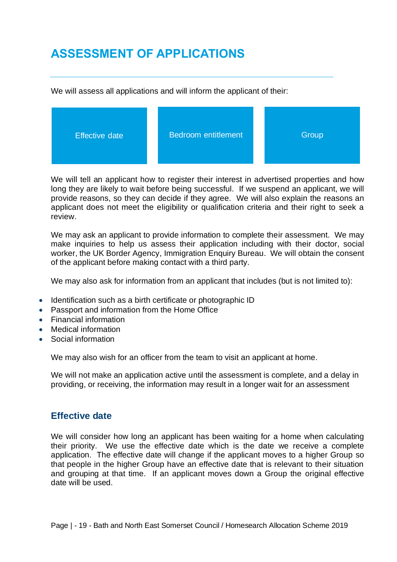# <span id="page-18-0"></span>**ASSESSMENT OF APPLICATIONS**

We will assess all applications and will inform the applicant of their:



We will tell an applicant how to register their interest in advertised properties and how long they are likely to wait before being successful. If we suspend an applicant, we will provide reasons, so they can decide if they agree. We will also explain the reasons an applicant does not meet the eligibility or qualification criteria and their right to seek a review.

We may ask an applicant to provide information to complete their assessment. We may make inquiries to help us assess their application including with their doctor, social worker, the UK Border Agency, Immigration Enquiry Bureau. We will obtain the consent of the applicant before making contact with a third party.

We may also ask for information from an applicant that includes (but is not limited to):

- Identification such as a birth certificate or photographic ID
- Passport and information from the Home Office
- Financial information
- Medical information
- Social information

We may also wish for an officer from the team to visit an applicant at home.

We will not make an application active until the assessment is complete, and a delay in providing, or receiving, the information may result in a longer wait for an assessment

# **Effective date**

We will consider how long an applicant has been waiting for a home when calculating their priority. We use the effective date which is the date we receive a complete application. The effective date will change if the applicant moves to a higher Group so that people in the higher Group have an effective date that is relevant to their situation and grouping at that time. If an applicant moves down a Group the original effective date will be used.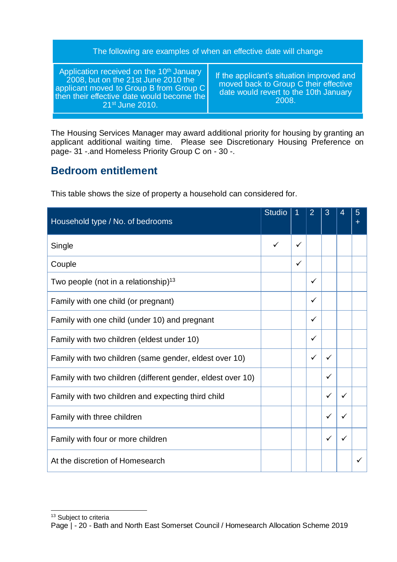

Application received on the 10<sup>th</sup> January 2008, but on the 21st June 2010 the applicant moved to Group B from Group C then their effective date would become the 21<sup>st</sup> June 2010.

If the applicant's situation improved and moved back to Group C their effective date would revert to the 10th January 2008.

The Housing Services Manager may award additional priority for housing by granting an applicant additional waiting time. Please see Discretionary Housing Preference on page- [31 -.](#page-30-0)and Homeless Priority Group C on - [30 -.](#page-29-0)

# <span id="page-19-0"></span>**Bedroom entitlement**

This table shows the size of property a household can considered for.

| Household type / No. of bedrooms                            | <b>Studio</b> | $\overline{1}$ | $\overline{2}$ | 3            | 4            | 5<br>÷ |
|-------------------------------------------------------------|---------------|----------------|----------------|--------------|--------------|--------|
| Single                                                      | ✓             | $\checkmark$   |                |              |              |        |
| Couple                                                      |               | $\checkmark$   |                |              |              |        |
| Two people (not in a relationship) <sup>13</sup>            |               |                | $\checkmark$   |              |              |        |
| Family with one child (or pregnant)                         |               |                | $\checkmark$   |              |              |        |
| Family with one child (under 10) and pregnant               |               |                | $\checkmark$   |              |              |        |
| Family with two children (eldest under 10)                  |               |                | $\checkmark$   |              |              |        |
| Family with two children (same gender, eldest over 10)      |               |                | $\checkmark$   | ✓            |              |        |
| Family with two children (different gender, eldest over 10) |               |                |                | ✓            |              |        |
| Family with two children and expecting third child          |               |                |                | ✓            | ✓            |        |
| Family with three children                                  |               |                |                | $\checkmark$ | ✓            |        |
| Family with four or more children                           |               |                |                | $\checkmark$ | $\checkmark$ |        |
| At the discretion of Homesearch                             |               |                |                |              |              |        |

Page | - 20 - Bath and North East Somerset Council / Homesearch Allocation Scheme 2019 <sup>13</sup> Subject to criteria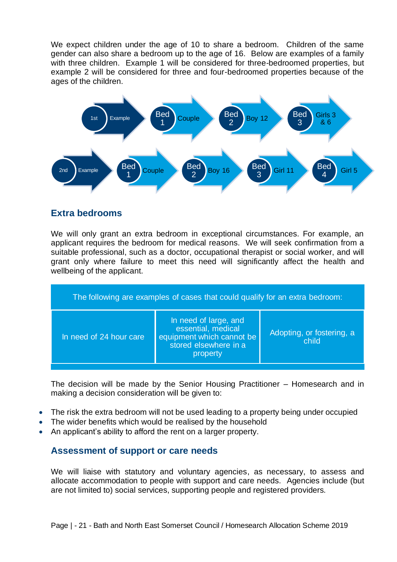We expect children under the age of 10 to share a bedroom. Children of the same gender can also share a bedroom up to the age of 16. Below are examples of a family with three children. Example 1 will be considered for three-bedroomed properties, but example 2 will be considered for three and four-bedroomed properties because of the ages of the children.



# **Extra bedrooms**

We will only grant an extra bedroom in exceptional circumstances. For example, an applicant requires the bedroom for medical reasons. We will seek confirmation from a suitable professional, such as a doctor, occupational therapist or social worker, and will grant only where failure to meet this need will significantly affect the health and wellbeing of the applicant.

| The following are examples of cases that could qualify for an extra bedroom: |                                                                                                               |                                    |  |  |  |  |  |
|------------------------------------------------------------------------------|---------------------------------------------------------------------------------------------------------------|------------------------------------|--|--|--|--|--|
| In need of 24 hour care                                                      | In need of large, and<br>essential, medical<br>equipment which cannot be<br>stored elsewhere in a<br>property | Adopting, or fostering, a<br>child |  |  |  |  |  |

The decision will be made by the Senior Housing Practitioner – Homesearch and in making a decision consideration will be given to:

- The risk the extra bedroom will not be used leading to a property being under occupied
- The wider benefits which would be realised by the household
- An applicant's ability to afford the rent on a larger property.

# <span id="page-20-0"></span>**Assessment of support or care needs**

We will liaise with statutory and voluntary agencies, as necessary, to assess and allocate accommodation to people with support and care needs. Agencies include (but are not limited to) social services, supporting people and registered providers.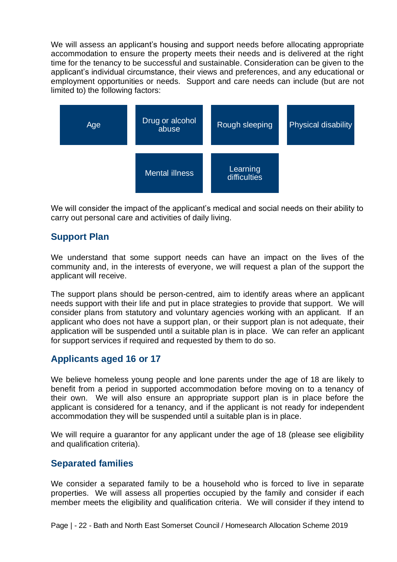We will assess an applicant's housing and support needs before allocating appropriate accommodation to ensure the property meets their needs and is delivered at the right time for the tenancy to be successful and sustainable. Consideration can be given to the applicant's individual circumstance, their views and preferences, and any educational or employment opportunities or needs. Support and care needs can include (but are not limited to) the following factors:



We will consider the impact of the applicant's medical and social needs on their ability to carry out personal care and activities of daily living.

# **Support Plan**

We understand that some support needs can have an impact on the lives of the community and, in the interests of everyone, we will request a plan of the support the applicant will receive.

The support plans should be person-centred, aim to identify areas where an applicant needs support with their life and put in place strategies to provide that support. We will consider plans from statutory and voluntary agencies working with an applicant. If an applicant who does not have a support plan, or their support plan is not adequate, their application will be suspended until a suitable plan is in place. We can refer an applicant for support services if required and requested by them to do so.

# **Applicants aged 16 or 17**

We believe homeless young people and lone parents under the age of 18 are likely to benefit from a period in supported accommodation before moving on to a tenancy of their own. We will also ensure an appropriate support plan is in place before the applicant is considered for a tenancy, and if the applicant is not ready for independent accommodation they will be suspended until a suitable plan is in place.

We will require a quarantor for any applicant under the age of 18 (please see eligibility and qualification criteria).

# **Separated families**

We consider a separated family to be a household who is forced to live in separate properties. We will assess all properties occupied by the family and consider if each member meets the eligibility and qualification criteria. We will consider if they intend to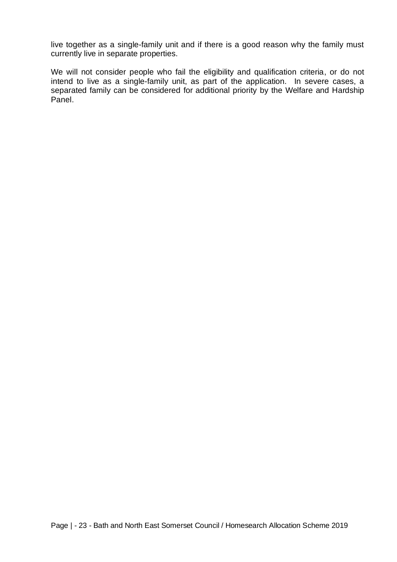live together as a single-family unit and if there is a good reason why the family must currently live in separate properties.

We will not consider people who fail the eligibility and qualification criteria, or do not intend to live as a single-family unit, as part of the application. In severe cases, a separated family can be considered for additional priority by the Welfare and Hardship Panel.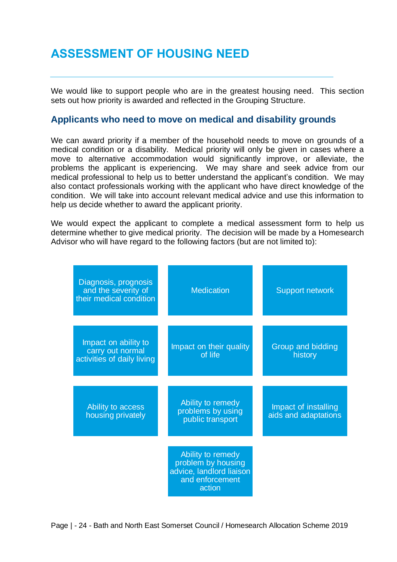# <span id="page-23-1"></span><span id="page-23-0"></span>**ASSESSMENT OF HOUSING NEED**

We would like to support people who are in the greatest housing need. This section sets out how priority is awarded and reflected in the Grouping Structure.

# **Applicants who need to move on medical and disability grounds**

We can award priority if a member of the household needs to move on grounds of a medical condition or a disability. Medical priority will only be given in cases where a move to alternative accommodation would significantly improve, or alleviate, the problems the applicant is experiencing. We may share and seek advice from our medical professional to help us to better understand the applicant's condition. We may also contact professionals working with the applicant who have direct knowledge of the condition. We will take into account relevant medical advice and use this information to help us decide whether to award the applicant priority.

We would expect the applicant to complete a medical assessment form to help us determine whether to give medical priority. The decision will be made by a Homesearch Advisor who will have regard to the following factors (but are not limited to):

| Diagnosis, prognosis<br>and the severity of<br>their medical condition | <b>Medication</b>                                                                                | <b>Support network</b>                       |
|------------------------------------------------------------------------|--------------------------------------------------------------------------------------------------|----------------------------------------------|
| Impact on ability to<br>carry out normal<br>activities of daily living | Impact on their quality<br>of life                                                               | Group and bidding<br>history                 |
| Ability to access<br>housing privately                                 | Ability to remedy<br>problems by using<br>public transport                                       | Impact of installing<br>aids and adaptations |
|                                                                        | Ability to remedy<br>problem by housing<br>advice, landlord liaison<br>and enforcement<br>action |                                              |

Page | - 24 - Bath and North East Somerset Council / Homesearch Allocation Scheme 2019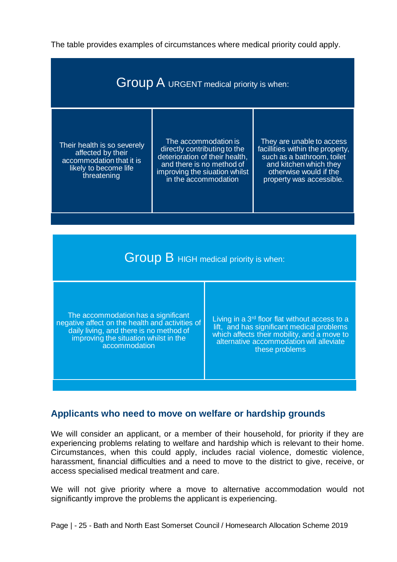The table provides examples of circumstances where medical priority could apply.

| <b>Group A URGENT medical priority is when:</b>                                                                                                                                             |                                                                                                                                                                              |  |                                                                                                                                                                                                                       |  |  |  |  |  |
|---------------------------------------------------------------------------------------------------------------------------------------------------------------------------------------------|------------------------------------------------------------------------------------------------------------------------------------------------------------------------------|--|-----------------------------------------------------------------------------------------------------------------------------------------------------------------------------------------------------------------------|--|--|--|--|--|
| Their health is so severely<br>affected by their<br>accommodation that it is<br>likely to become life<br>threatening                                                                        | The accommodation is<br>directly contributing to the<br>deterioration of their health,<br>and there is no method of<br>improving the siuation whilst<br>in the accommodation |  | They are unable to access<br>facillities within the property,<br>such as a bathroom, toilet<br>and kitchen which they<br>otherwise would if the<br>property was accessible.                                           |  |  |  |  |  |
|                                                                                                                                                                                             |                                                                                                                                                                              |  |                                                                                                                                                                                                                       |  |  |  |  |  |
|                                                                                                                                                                                             | <b>Group B</b> HIGH medical priority is when:                                                                                                                                |  |                                                                                                                                                                                                                       |  |  |  |  |  |
| The accommodation has a significant<br>negative affect on the health and activities of<br>daily living, and there is no method of<br>improving the situation whilst in the<br>accommodation |                                                                                                                                                                              |  | Living in a 3 <sup>rd</sup> floor flat without access to a<br>lift, and has significant medical problems<br>which affects their mobility, and a move to<br>alternative accommodation will alleviate<br>these problems |  |  |  |  |  |

# **Applicants who need to move on welfare or hardship grounds**

We will consider an applicant, or a member of their household, for priority if they are experiencing problems relating to welfare and hardship which is relevant to their home. Circumstances, when this could apply, includes racial violence, domestic violence, harassment, financial difficulties and a need to move to the district to give, receive, or access specialised medical treatment and care.

We will not give priority where a move to alternative accommodation would not significantly improve the problems the applicant is experiencing.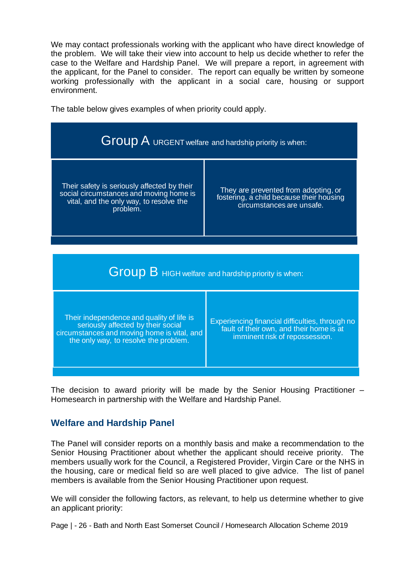We may contact professionals working with the applicant who have direct knowledge of the problem. We will take their view into account to help us decide whether to refer the case to the Welfare and Hardship Panel. We will prepare a report, in agreement with the applicant, for the Panel to consider. The report can equally be written by someone working professionally with the applicant in a social care, housing or support environment.

Group A URGENT welfare and hardship priority is when: Their safety is seriously affected by their social circumstances and moving home is vital, and the only way, to resolve the problem. They are prevented from adopting, or fostering, a child because their housing circumstances are unsafe. Group B HIGH welfare and hardship priority is when: Their independence and quality of life is seriously affected by their social circumstances and moving home is vital, and the only way, to resolve the problem. Experiencing financial difficulties, through no fault of their own, and their home is at imminent risk of repossession.

The table below gives examples of when priority could apply.

The decision to award priority will be made by the Senior Housing Practitioner – Homesearch in partnership with the Welfare and Hardship Panel.

# <span id="page-25-0"></span>**Welfare and Hardship Panel**

The Panel will consider reports on a monthly basis and make a recommendation to the Senior Housing Practitioner about whether the applicant should receive priority. The members usually work for the Council, a Registered Provider, Virgin Care or the NHS in the housing, care or medical field so are well placed to give advice. The list of panel members is available from the Senior Housing Practitioner upon request.

We will consider the following factors, as relevant, to help us determine whether to give an applicant priority:

Page | - 26 - Bath and North East Somerset Council / Homesearch Allocation Scheme 2019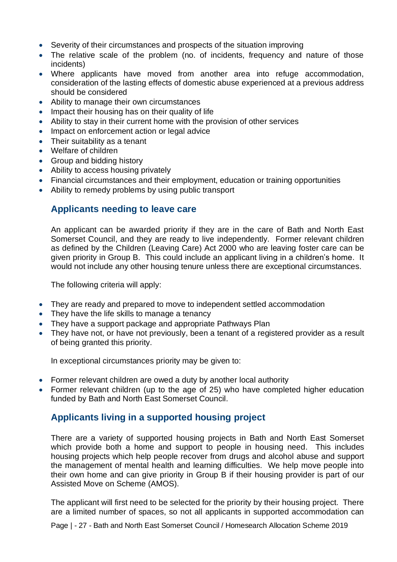- Severity of their circumstances and prospects of the situation improving
- The relative scale of the problem (no. of incidents, frequency and nature of those incidents)
- Where applicants have moved from another area into refuge accommodation, consideration of the lasting effects of domestic abuse experienced at a previous address should be considered
- Ability to manage their own circumstances
- Impact their housing has on their quality of life
- Ability to stay in their current home with the provision of other services
- Impact on enforcement action or legal advice
- Their suitability as a tenant
- Welfare of children
- Group and bidding history
- Ability to access housing privately
- Financial circumstances and their employment, education or training opportunities
- Ability to remedy problems by using public transport

# **Applicants needing to leave care**

An applicant can be awarded priority if they are in the care of Bath and North East Somerset Council, and they are ready to live independently. Former relevant children as defined by the Children (Leaving Care) Act 2000 who are leaving foster care can be given priority in Group B. This could include an applicant living in a children's home. It would not include any other housing tenure unless there are exceptional circumstances.

The following criteria will apply:

- They are ready and prepared to move to independent settled accommodation
- They have the life skills to manage a tenancy
- They have a support package and appropriate Pathways Plan
- They have not, or have not previously, been a tenant of a registered provider as a result of being granted this priority.

In exceptional circumstances priority may be given to:

- Former relevant children are owed a duty by another local authority
- Former relevant children (up to the age of 25) who have completed higher education funded by Bath and North East Somerset Council.

# **Applicants living in a supported housing project**

There are a variety of supported housing projects in Bath and North East Somerset which provide both a home and support to people in housing need. This includes housing projects which help people recover from drugs and alcohol abuse and support the management of mental health and learning difficulties. We help move people into their own home and can give priority in Group B if their housing provider is part of our Assisted Move on Scheme (AMOS).

The applicant will first need to be selected for the priority by their housing project. There are a limited number of spaces, so not all applicants in supported accommodation can

Page | - 27 - Bath and North East Somerset Council / Homesearch Allocation Scheme 2019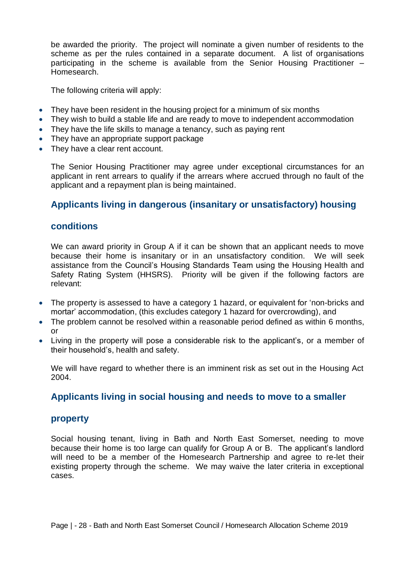be awarded the priority. The project will nominate a given number of residents to the scheme as per the rules contained in a separate document. A list of organisations participating in the scheme is available from the Senior Housing Practitioner – **Homesearch** 

The following criteria will apply:

- They have been resident in the housing project for a minimum of six months
- They wish to build a stable life and are ready to move to independent accommodation
- They have the life skills to manage a tenancy, such as paying rent
- They have an appropriate support package
- They have a clear rent account.

The Senior Housing Practitioner may agree under exceptional circumstances for an applicant in rent arrears to qualify if the arrears where accrued through no fault of the applicant and a repayment plan is being maintained.

# **Applicants living in dangerous (insanitary or unsatisfactory) housing**

#### **conditions**

We can award priority in Group A if it can be shown that an applicant needs to move because their home is insanitary or in an unsatisfactory condition. We will seek assistance from the Council's Housing Standards Team using the Housing Health and Safety Rating System (HHSRS). Priority will be given if the following factors are relevant:

- The property is assessed to have a category 1 hazard, or equivalent for 'non-bricks and mortar' accommodation, (this excludes category 1 hazard for overcrowding), and
- The problem cannot be resolved within a reasonable period defined as within 6 months, or
- Living in the property will pose a considerable risk to the applicant's, or a member of their household's, health and safety.

We will have regard to whether there is an imminent risk as set out in the Housing Act 2004.

# **Applicants living in social housing and needs to move to a smaller**

#### **property**

Social housing tenant, living in Bath and North East Somerset, needing to move because their home is too large can qualify for Group A or B. The applicant's landlord will need to be a member of the Homesearch Partnership and agree to re-let their existing property through the scheme. We may waive the later criteria in exceptional cases.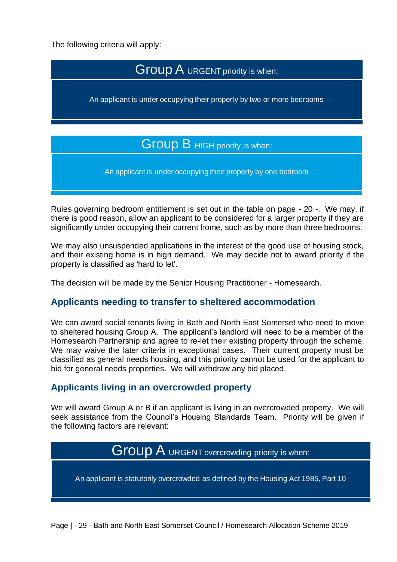The following criteria will apply:



Rules governing bedroom entitlement is set out in the table on page - [20 -.](#page-19-0) We may, if there is good reason, allow an applicant to be considered for a larger property if they are significantly under occupying their current home, such as by more than three bedrooms.

We may also unsuspended applications in the interest of the good use of housing stock, and their existing home is in high demand. We may decide not to award priority if the property is classified as 'hard to let'.

The decision will be made by the Senior Housing Practitioner - Homesearch.

# **Applicants needing to transfer to sheltered accommodation**

We can award social tenants living in Bath and North East Somerset who need to move to sheltered housing Group A. The applicant's landlord will need to be a member of the Homesearch Partnership and agree to re-let their existing property through the scheme. We may waive the later criteria in exceptional cases. Their current property must be classified as general needs housing, and this priority cannot be used for the applicant to bid for general needs properties. We will withdraw any bid placed.

# **Applicants living in an overcrowded property**

We will award Group A or B if an applicant is living in an overcrowded property. We will seek assistance from the Council's Housing Standards Team. Priority will be given if the following factors are relevant:

Group A URGENT overcrowding priority is when:

An applicant is statutorily overcrowded as defined by the Housing Act 1985, Part 10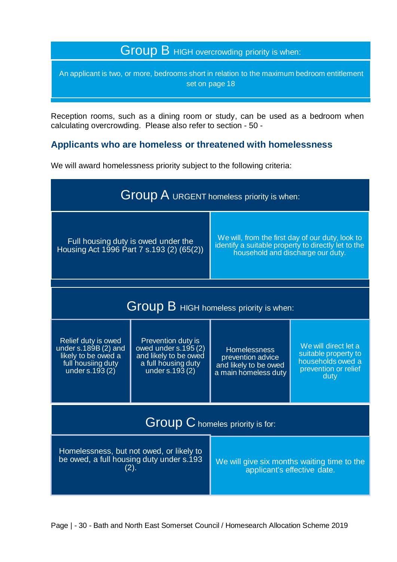Group B HIGH overcrowding priority is when:

An applicant is two, or more, bedrooms short in relation to the maximum bedroom entitlement set on page 18

Reception rooms, such as a dining room or study, can be used as a bedroom when calculating overcrowding. Please also refer to section - [50 -](#page-49-1) 

# <span id="page-29-0"></span>**Applicants who are homeless or threatened with homelessness**

We will award homelessness priority subject to the following criteria:

| Group A URGENT homeless priority is when:                                                                      |                                                                                                                              |                                                                                                                                              |                                                                                                   |  |
|----------------------------------------------------------------------------------------------------------------|------------------------------------------------------------------------------------------------------------------------------|----------------------------------------------------------------------------------------------------------------------------------------------|---------------------------------------------------------------------------------------------------|--|
| Full housing duty is owed under the<br>Housing Act 1996 Part 7 s.193 (2) (65(2))                               |                                                                                                                              | We will, from the first day of our duty, look to<br>identify a suitable property to directly let to the<br>household and discharge our duty. |                                                                                                   |  |
| Group B HIGH homeless priority is when:                                                                        |                                                                                                                              |                                                                                                                                              |                                                                                                   |  |
| Relief duty is owed<br>under $s.189B(2)$ and<br>likely to be owed a<br>full housiing duty<br>under s.193 $(2)$ | Prevention duty is<br>owed under $s.195(2)$<br>and likely to be owed<br>a full housing duty<br>under s.19 $\overline{3}$ (2) | <b>Homelessness</b><br>prevention advice<br>and likely to be owed<br>a main homeless duty                                                    | We will direct let a<br>suitable property to<br>households owed a<br>prevention or relief<br>duty |  |
| <b>Group C</b> homeles priority is for:                                                                        |                                                                                                                              |                                                                                                                                              |                                                                                                   |  |
| Homelessness, but not owed, or likely to<br>be owed, a full housing duty under s.193<br>(2).                   |                                                                                                                              |                                                                                                                                              | We will give six months waiting time to the<br>applicant's effective date.                        |  |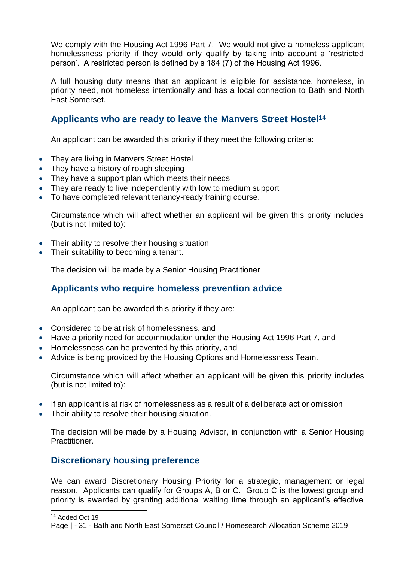We comply with the Housing Act 1996 Part 7. We would not give a homeless applicant homelessness priority if they would only qualify by taking into account a 'restricted person'. A restricted person is defined by s 184 (7) of the Housing Act 1996.

A full housing duty means that an applicant is eligible for assistance, homeless, in priority need, not homeless intentionally and has a local connection to Bath and North East Somerset.

# **Applicants who are ready to leave the Manvers Street Hostel<sup>14</sup>**

An applicant can be awarded this priority if they meet the following criteria:

- They are living in Manvers Street Hostel
- They have a history of rough sleeping
- They have a support plan which meets their needs
- They are ready to live independently with low to medium support
- To have completed relevant tenancy-ready training course.

Circumstance which will affect whether an applicant will be given this priority includes (but is not limited to):

- Their ability to resolve their housing situation
- Their suitability to becoming a tenant.

The decision will be made by a Senior Housing Practitioner

# **Applicants who require homeless prevention advice**

An applicant can be awarded this priority if they are:

- Considered to be at risk of homelessness, and
- Have a priority need for accommodation under the Housing Act 1996 Part 7, and
- Homelessness can be prevented by this priority, and
- Advice is being provided by the Housing Options and Homelessness Team.

Circumstance which will affect whether an applicant will be given this priority includes (but is not limited to):

- If an applicant is at risk of homelessness as a result of a deliberate act or omission
- Their ability to resolve their housing situation.

The decision will be made by a Housing Advisor, in conjunction with a Senior Housing Practitioner.

# <span id="page-30-0"></span>**Discretionary housing preference**

We can award Discretionary Housing Priority for a strategic, management or legal reason. Applicants can qualify for Groups A, B or C. Group C is the lowest group and priority is awarded by granting additional waiting time through an applicant's effective

<sup>&</sup>lt;sup>14</sup> Added Oct 19

Page | - 31 - Bath and North East Somerset Council / Homesearch Allocation Scheme 2019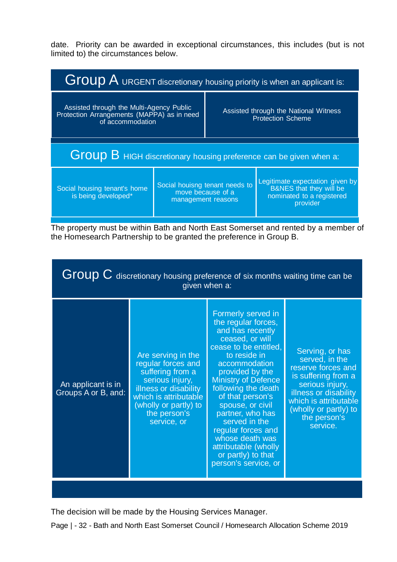date. Priority can be awarded in exceptional circumstances, this includes (but is not limited to) the circumstances below.

| <b>Group A</b> URGENT discretionary housing priority is when an applicant is:                              |                                                                           |                                                                   |                                                                                                                |  |
|------------------------------------------------------------------------------------------------------------|---------------------------------------------------------------------------|-------------------------------------------------------------------|----------------------------------------------------------------------------------------------------------------|--|
| Assisted through the Multi-Agency Public<br>Protection Arrangements (MAPPA) as in need<br>of accommodation |                                                                           | Assisted through the National Witness<br><b>Protection Scheme</b> |                                                                                                                |  |
| Group B HIGH discretionary housing preference can be given when a:                                         |                                                                           |                                                                   |                                                                                                                |  |
|                                                                                                            |                                                                           |                                                                   |                                                                                                                |  |
| Social housing tenant's home<br>is being developed*                                                        | Social houisng tenant needs to<br>move because of a<br>management reasons |                                                                   | Legitimate expectation given by<br><b>B&amp;NES</b> that they will be<br>nominated to a registered<br>provider |  |

The property must be within Bath and North East Somerset and rented by a member of the Homesearch Partnership to be granted the preference in Group B.

| Group C discretionary housing preference of six months waiting time can be<br>given when a: |                                                                                                                                                                                           |                                                                                                                                                                                                                                                                                                                                                                                                                |                                                                                                                                                                                                          |  |
|---------------------------------------------------------------------------------------------|-------------------------------------------------------------------------------------------------------------------------------------------------------------------------------------------|----------------------------------------------------------------------------------------------------------------------------------------------------------------------------------------------------------------------------------------------------------------------------------------------------------------------------------------------------------------------------------------------------------------|----------------------------------------------------------------------------------------------------------------------------------------------------------------------------------------------------------|--|
| An applicant is in<br>Groups A or B, and:                                                   | Are serving in the<br>regular forces and<br>suffering from a<br>serious injury,<br>illness or disability<br>which is attributable<br>(wholly or partly) to<br>the person's<br>service, or | Formerly served in<br>the regular forces,<br>and has recently<br>ceased, or will<br>cease to be entitled,<br>to reside in<br>accommodation<br>provided by the<br><b>Ministry of Defence</b><br>following the death<br>of that person's<br>spouse, or civil<br>partner, who has<br>served in the<br>regular forces and<br>whose death was<br>attributable (wholly<br>or partly) to that<br>person's service, or | Serving, or has<br>served, in the<br>reserve forces and<br>is suffering from a<br>serious injury,<br>illness or disability<br>which is attributable<br>(wholly or partly) to<br>the person's<br>service. |  |
|                                                                                             |                                                                                                                                                                                           |                                                                                                                                                                                                                                                                                                                                                                                                                |                                                                                                                                                                                                          |  |

The decision will be made by the Housing Services Manager.

Page | - 32 - Bath and North East Somerset Council / Homesearch Allocation Scheme 2019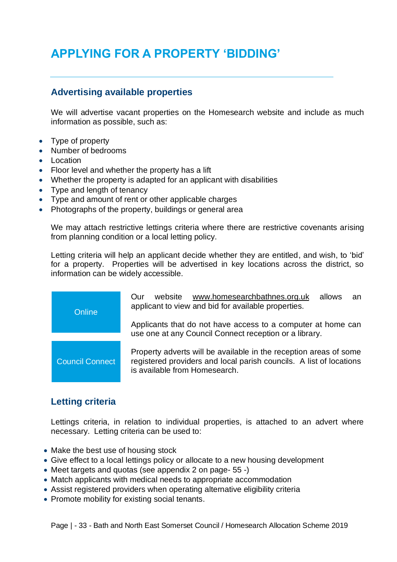# <span id="page-32-0"></span>**APPLYING FOR A PROPERTY 'BIDDING'**

# **Advertising available properties**

We will advertise vacant properties on the Homesearch website and include as much information as possible, such as:

- Type of property
- Number of bedrooms
- Location
- Floor level and whether the property has a lift
- Whether the property is adapted for an applicant with disabilities
- Type and length of tenancy
- Type and amount of rent or other applicable charges
- Photographs of the property, buildings or general area

We may attach restrictive lettings criteria where there are restrictive covenants arising from planning condition or a local letting policy.

Letting criteria will help an applicant decide whether they are entitled, and wish, to 'bid' for a property. Properties will be advertised in key locations across the district, so information can be widely accessible.



# <span id="page-32-1"></span>**Letting criteria**

Lettings criteria, in relation to individual properties, is attached to an advert where necessary. Letting criteria can be used to:

- Make the best use of housing stock
- Give effect to a local lettings policy or allocate to a new housing development
- Meet targets and quotas (see appendix 2 on page- [55 -\)](#page-54-0)
- Match applicants with medical needs to appropriate accommodation
- Assist registered providers when operating alternative eligibility criteria
- Promote mobility for existing social tenants.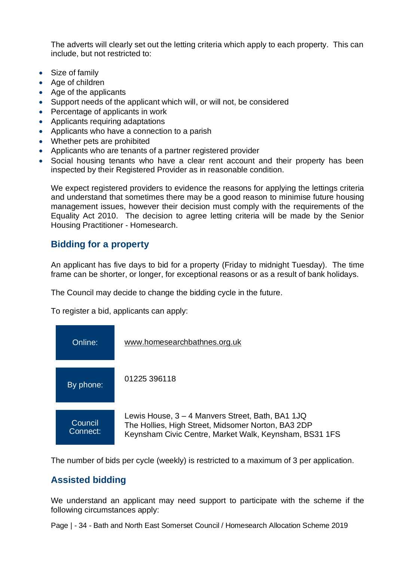The adverts will clearly set out the letting criteria which apply to each property. This can include, but not restricted to:

- Size of family
- Age of children
- Age of the applicants
- Support needs of the applicant which will, or will not, be considered
- Percentage of applicants in work
- Applicants requiring adaptations
- Applicants who have a connection to a parish
- Whether pets are prohibited
- Applicants who are tenants of a partner registered provider
- Social housing tenants who have a clear rent account and their property has been inspected by their Registered Provider as in reasonable condition.

We expect registered providers to evidence the reasons for applying the lettings criteria and understand that sometimes there may be a good reason to minimise future housing management issues, however their decision must comply with the requirements of the Equality Act 2010. The decision to agree letting criteria will be made by the Senior Housing Practitioner - Homesearch.

# **Bidding for a property**

An applicant has five days to bid for a property (Friday to midnight Tuesday). The time frame can be shorter, or longer, for exceptional reasons or as a result of bank holidays.

The Council may decide to change the bidding cycle in the future.

To register a bid, applicants can apply:



The number of bids per cycle (weekly) is restricted to a maximum of 3 per application.

# **Assisted bidding**

We understand an applicant may need support to participate with the scheme if the following circumstances apply:

Page | - 34 - Bath and North East Somerset Council / Homesearch Allocation Scheme 2019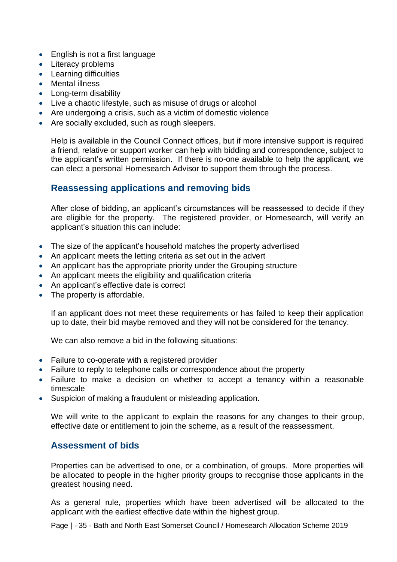- English is not a first language
- Literacy problems
- Learning difficulties
- Mental illness
- Long-term disability
- Live a chaotic lifestyle, such as misuse of drugs or alcohol
- Are undergoing a crisis, such as a victim of domestic violence
- Are socially excluded, such as rough sleepers.

Help is available in the Council Connect offices, but if more intensive support is required a friend, relative or support worker can help with bidding and correspondence, subject to the applicant's written permission. If there is no-one available to help the applicant, we can elect a personal Homesearch Advisor to support them through the process.

# **Reassessing applications and removing bids**

After close of bidding, an applicant's circumstances will be reassessed to decide if they are eligible for the property. The registered provider, or Homesearch, will verify an applicant's situation this can include:

- The size of the applicant's household matches the property advertised
- An applicant meets the letting criteria as set out in the advert
- An applicant has the appropriate priority under the Grouping structure
- An applicant meets the eligibility and qualification criteria
- An applicant's effective date is correct
- The property is affordable.

If an applicant does not meet these requirements or has failed to keep their application up to date, their bid maybe removed and they will not be considered for the tenancy.

We can also remove a bid in the following situations:

- Failure to co-operate with a registered provider
- Failure to reply to telephone calls or correspondence about the property
- Failure to make a decision on whether to accept a tenancy within a reasonable timescale
- Suspicion of making a fraudulent or misleading application.

We will write to the applicant to explain the reasons for any changes to their group, effective date or entitlement to join the scheme, as a result of the reassessment.

# **Assessment of bids**

Properties can be advertised to one, or a combination, of groups. More properties will be allocated to people in the higher priority groups to recognise those applicants in the greatest housing need.

As a general rule, properties which have been advertised will be allocated to the applicant with the earliest effective date within the highest group.

Page | - 35 - Bath and North East Somerset Council / Homesearch Allocation Scheme 2019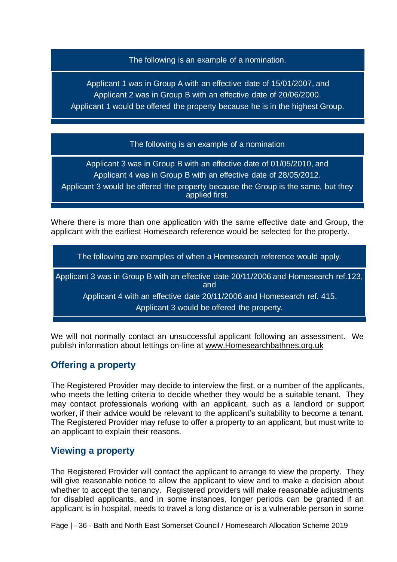The following is an example of a nomination.

Applicant 1 was in Group A with an effective date of 15/01/2007, and Applicant 2 was in Group B with an effective date of 20/06/2000. Applicant 1 would be offered the property because he is in the highest Group.

The following is an example of a nomination

Applicant 3 was in Group B with an effective date of 01/05/2010, and Applicant 4 was in Group B with an effective date of 28/05/2012. Applicant 3 would be offered the property because the Group is the same, but they applied first.

Where there is more than one application with the same effective date and Group, the applicant with the earliest Homesearch reference would be selected for the property.

The following are examples of when a Homesearch reference would apply.

Applicant 3 was in Group B with an effective date 20/11/2006 and Homesearch ref.123, and Applicant 4 with an effective date 20/11/2006 and Homesearch ref. 415.

Applicant 3 would be offered the property.

We will not normally contact an unsuccessful applicant following an assessment. We publish information about lettings on-line a[t www.Homesearchbathnes.org.uk](http://www.homesearchbathnes.org.uk/)

# **Offering a property**

The Registered Provider may decide to interview the first, or a number of the applicants, who meets the letting criteria to decide whether they would be a suitable tenant. They may contact professionals working with an applicant, such as a landlord or support worker, if their advice would be relevant to the applicant's suitability to become a tenant. The Registered Provider may refuse to offer a property to an applicant, but must write to an applicant to explain their reasons.

# **Viewing a property**

The Registered Provider will contact the applicant to arrange to view the property. They will give reasonable notice to allow the applicant to view and to make a decision about whether to accept the tenancy. Registered providers will make reasonable adjustments for disabled applicants, and in some instances, longer periods can be granted if an applicant is in hospital, needs to travel a long distance or is a vulnerable person in some

Page | - 36 - Bath and North East Somerset Council / Homesearch Allocation Scheme 2019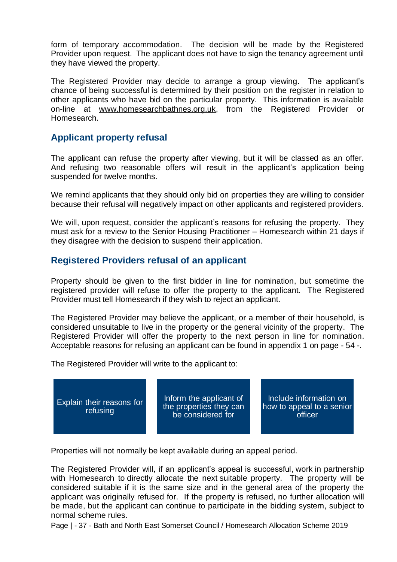form of temporary accommodation. The decision will be made by the Registered Provider upon request. The applicant does not have to sign the tenancy agreement until they have viewed the property.

The Registered Provider may decide to arrange a group viewing. The applicant's chance of being successful is determined by their position on the register in relation to other applicants who have bid on the particular property. This information is available on-line at [www.homesearchbathnes.org.uk,](http://www.homesearchbathnes.org.uk/) from the Registered Provider or Homesearch.

# **Applicant property refusal**

The applicant can refuse the property after viewing, but it will be classed as an offer. And refusing two reasonable offers will result in the applicant's application being suspended for twelve months.

We remind applicants that they should only bid on properties they are willing to consider because their refusal will negatively impact on other applicants and registered providers.

We will, upon request, consider the applicant's reasons for refusing the property. They must ask for a review to the Senior Housing Practitioner – Homesearch within 21 days if they disagree with the decision to suspend their application.

# **Registered Providers refusal of an applicant**

Property should be given to the first bidder in line for nomination, but sometime the registered provider will refuse to offer the property to the applicant. The Registered Provider must tell Homesearch if they wish to reject an applicant.

The Registered Provider may believe the applicant, or a member of their household, is considered unsuitable to live in the property or the general vicinity of the property. The Registered Provider will offer the property to the next person in line for nomination. Acceptable reasons for refusing an applicant can be found in appendix 1 on page - [54 -.](#page-53-0)

The Registered Provider will write to the applicant to:



Properties will not normally be kept available during an appeal period.

The Registered Provider will, if an applicant's appeal is successful, work in partnership with Homesearch to directly allocate the next suitable property. The property will be considered suitable if it is the same size and in the general area of the property the applicant was originally refused for. If the property is refused, no further allocation will be made, but the applicant can continue to participate in the bidding system, subject to normal scheme rules.

Page | - 37 - Bath and North East Somerset Council / Homesearch Allocation Scheme 2019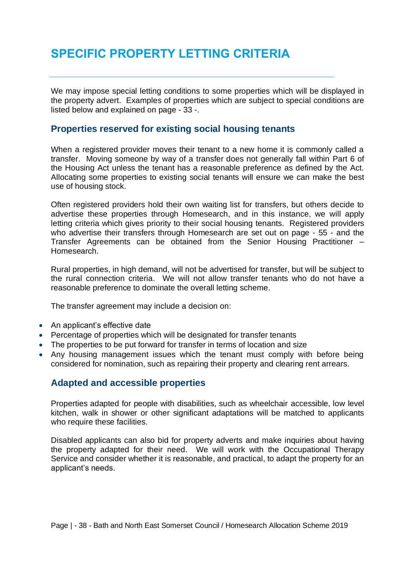# <span id="page-37-0"></span>**SPECIFIC PROPERTY LETTING CRITERIA**

We may impose special letting conditions to some properties which will be displayed in the property advert. Examples of properties which are subject to special conditions are listed below and explained on page - [33 -.](#page-32-1)

# **Properties reserved for existing social housing tenants**

When a registered provider moves their tenant to a new home it is commonly called a transfer. Moving someone by way of a transfer does not generally fall within Part 6 of the Housing Act unless the tenant has a reasonable preference as defined by the Act. Allocating some properties to existing social tenants will ensure we can make the best use of housing stock.

Often registered providers hold their own waiting list for transfers, but others decide to advertise these properties through Homesearch, and in this instance, we will apply letting criteria which gives priority to their social housing tenants. Registered providers who advertise their transfers through Homesearch are set out on page - [55 -](#page-54-0) and the Transfer Agreements can be obtained from the Senior Housing Practitioner – Homesearch.

Rural properties, in high demand, will not be advertised for transfer, but will be subject to the rural connection criteria. We will not allow transfer tenants who do not have a reasonable preference to dominate the overall letting scheme.

The transfer agreement may include a decision on:

- An applicant's effective date
- Percentage of properties which will be designated for transfer tenants
- The properties to be put forward for transfer in terms of location and size
- Any housing management issues which the tenant must comply with before being considered for nomination, such as repairing their property and clearing rent arrears.

# **Adapted and accessible properties**

Properties adapted for people with disabilities, such as wheelchair accessible, low level kitchen, walk in shower or other significant adaptations will be matched to applicants who require these facilities.

Disabled applicants can also bid for property adverts and make inquiries about having the property adapted for their need. We will work with the Occupational Therapy Service and consider whether it is reasonable, and practical, to adapt the property for an applicant's needs.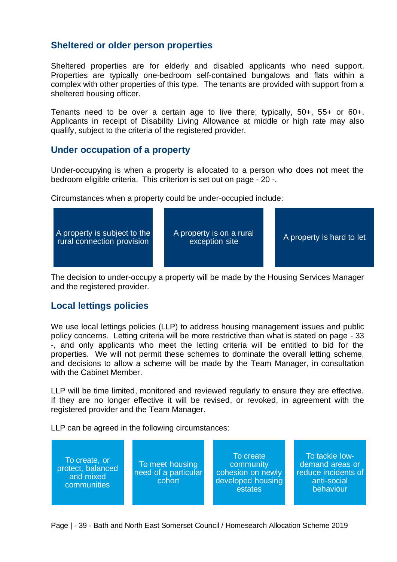# **Sheltered or older person properties**

Sheltered properties are for elderly and disabled applicants who need support. Properties are typically one-bedroom self-contained bungalows and flats within a complex with other properties of this type. The tenants are provided with support from a sheltered housing officer.

Tenants need to be over a certain age to live there; typically, 50+, 55+ or 60+. Applicants in receipt of Disability Living Allowance at middle or high rate may also qualify, subject to the criteria of the registered provider.

# **Under occupation of a property**

Under-occupying is when a property is allocated to a person who does not meet the bedroom eligible criteria. This criterion is set out on page - [20 -.](#page-19-0)

Circumstances when a property could be under-occupied include:



The decision to under-occupy a property will be made by the Housing Services Manager and the registered provider.

# **Local lettings policies**

We use local lettings policies (LLP) to address housing management issues and public policy concerns. Letting criteria will be more restrictive than what is stated on page - [33](#page-32-1)  [-,](#page-32-1) and only applicants who meet the letting criteria will be entitled to bid for the properties. We will not permit these schemes to dominate the overall letting scheme, and decisions to allow a scheme will be made by the Team Manager, in consultation with the Cabinet Member.

LLP will be time limited, monitored and reviewed regularly to ensure they are effective. If they are no longer effective it will be revised, or revoked, in agreement with the registered provider and the Team Manager.

LLP can be agreed in the following circumstances:



Page | - 39 - Bath and North East Somerset Council / Homesearch Allocation Scheme 2019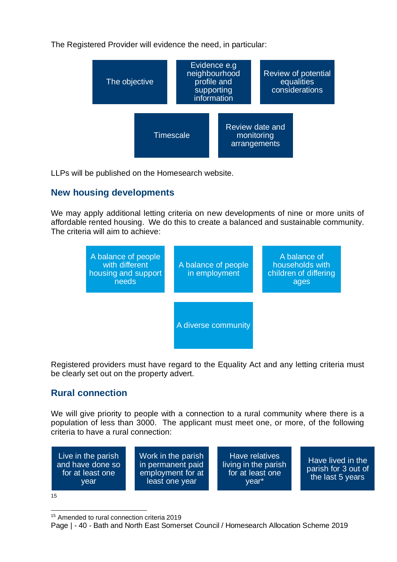The Registered Provider will evidence the need, in particular:



LLPs will be published on the Homesearch website.

# **New housing developments**

We may apply additional letting criteria on new developments of nine or more units of affordable rented housing. We do this to create a balanced and sustainable community. The criteria will aim to achieve:



Registered providers must have regard to the Equality Act and any letting criteria must be clearly set out on the property advert.

# **Rural connection**

We will give priority to people with a connection to a rural community where there is a population of less than 3000. The applicant must meet one, or more, of the following criteria to have a rural connection:



<sup>&</sup>lt;sup>15</sup> Amended to rural connection criteria 2019

Page | - 40 - Bath and North East Somerset Council / Homesearch Allocation Scheme 2019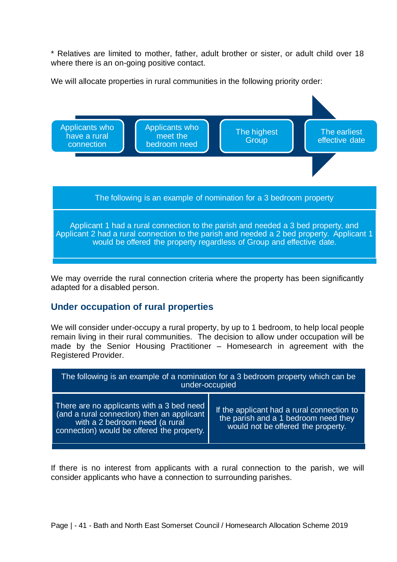\* Relatives are limited to mother, father, adult brother or sister, or adult child over 18 where there is an on-going positive contact.

We will allocate properties in rural communities in the following priority order:



We may override the rural connection criteria where the property has been significantly adapted for a disabled person.

# **Under occupation of rural properties**

We will consider under-occupy a rural property, by up to 1 bedroom, to help local people remain living in their rural communities. The decision to allow under occupation will be made by the Senior Housing Practitioner – Homesearch in agreement with the Registered Provider.

| The following is an example of a nomination for a 3 bedroom property which can be<br>under-occupied                                                                     |                                                                                                                          |  |
|-------------------------------------------------------------------------------------------------------------------------------------------------------------------------|--------------------------------------------------------------------------------------------------------------------------|--|
| There are no applicants with a 3 bed need<br>(and a rural connection) then an applicant<br>with a 2 bedroom need (a rural<br>connection) would be offered the property. | If the applicant had a rural connection to<br>the parish and a 1 bedroom need they<br>would not be offered the property. |  |

If there is no interest from applicants with a rural connection to the parish, we will consider applicants who have a connection to surrounding parishes.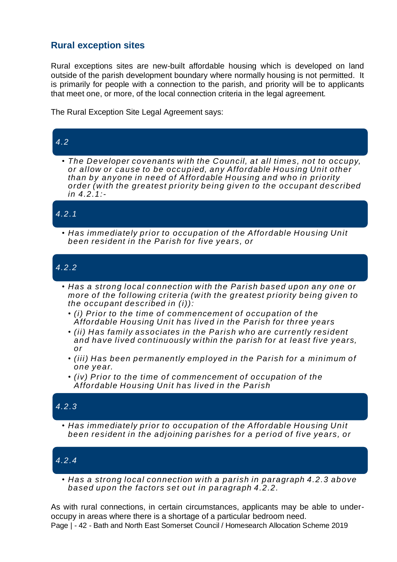# **Rural exception sites**

Rural exceptions sites are new-built affordable housing which is developed on land outside of the parish development boundary where normally housing is not permitted. It is primarily for people with a connection to the parish, and priority will be to applicants that meet one, or more, of the local connection criteria in the legal agreement.

The Rural Exception Site Legal Agreement says:

| 4.2                                                                                                                                                                                                                                                                                                                                                                                                                                                                                                                                                                                                                                                                                          |
|----------------------------------------------------------------------------------------------------------------------------------------------------------------------------------------------------------------------------------------------------------------------------------------------------------------------------------------------------------------------------------------------------------------------------------------------------------------------------------------------------------------------------------------------------------------------------------------------------------------------------------------------------------------------------------------------|
| • The Developer covenants with the Council, at all times, not to occupy,<br>or allow or cause to be occupied, any Affordable Housing Unit other<br>than by anyone in need of Affordable Housing and who in priority<br>order (with the greatest priority being given to the occupant described<br>in $4.2.1$ :-                                                                                                                                                                                                                                                                                                                                                                              |
| 4.2.1                                                                                                                                                                                                                                                                                                                                                                                                                                                                                                                                                                                                                                                                                        |
| • Has immediately prior to occupation of the Affordable Housing Unit<br>been resident in the Parish for five years, or                                                                                                                                                                                                                                                                                                                                                                                                                                                                                                                                                                       |
| 4.2.2                                                                                                                                                                                                                                                                                                                                                                                                                                                                                                                                                                                                                                                                                        |
| • Has a strong local connection with the Parish based upon any one or<br>more of the following criteria (with the greatest priority being given to<br>the occupant described in $(i)$ :<br>. (i) Prior to the time of commencement of occupation of the<br>Affordable Housing Unit has lived in the Parish for three years<br>. (ii) Has family associates in the Parish who are currently resident<br>and have lived continuously within the parish for at least five years,<br>0r<br>• (iii) Has been permanently employed in the Parish for a minimum of<br>one year.<br>• (iv) Prior to the time of commencement of occupation of the<br>Affordable Housing Unit has lived in the Parish |
| 4.2.3                                                                                                                                                                                                                                                                                                                                                                                                                                                                                                                                                                                                                                                                                        |
| • Has immediately prior to occupation of the Affordable Housing Unit<br>been resident in the adjoining parishes for a period of five years, or                                                                                                                                                                                                                                                                                                                                                                                                                                                                                                                                               |
| 4.2.4                                                                                                                                                                                                                                                                                                                                                                                                                                                                                                                                                                                                                                                                                        |
| • Has a strong local connection with a parish in paragraph 4.2.3 above<br>based upon the factors set out in paragraph 4.2.2.                                                                                                                                                                                                                                                                                                                                                                                                                                                                                                                                                                 |

Page | - 42 - Bath and North East Somerset Council / Homesearch Allocation Scheme 2019 As with rural connections, in certain circumstances, applicants may be able to underoccupy in areas where there is a shortage of a particular bedroom need.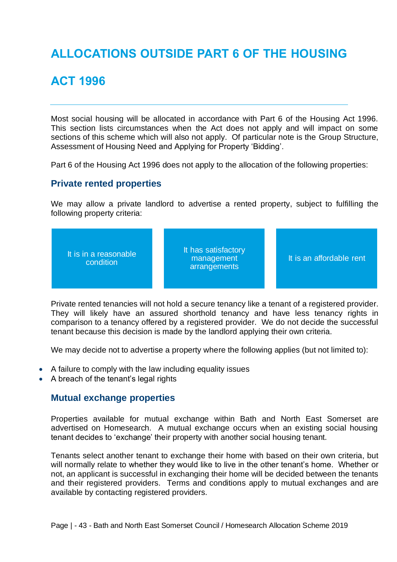# <span id="page-42-0"></span>**ALLOCATIONS OUTSIDE PART 6 OF THE HOUSING**

# **ACT 1996**

Most social housing will be allocated in accordance with Part 6 of the Housing Act 1996. This section lists circumstances when the Act does not apply and will impact on some sections of this scheme which will also not apply. Of particular note is the Group Structure, Assessment of Housing Need and Applying for Property 'Bidding'.

Part 6 of the Housing Act 1996 does not apply to the allocation of the following properties:

# **Private rented properties**

We may allow a private landlord to advertise a rented property, subject to fulfilling the following property criteria:



Private rented tenancies will not hold a secure tenancy like a tenant of a registered provider. They will likely have an assured shorthold tenancy and have less tenancy rights in comparison to a tenancy offered by a registered provider. We do not decide the successful tenant because this decision is made by the landlord applying their own criteria.

We may decide not to advertise a property where the following applies (but not limited to):

- A failure to comply with the law including equality issues
- A breach of the tenant's legal rights

#### **Mutual exchange properties**

Properties available for mutual exchange within Bath and North East Somerset are advertised on Homesearch. A mutual exchange occurs when an existing social housing tenant decides to 'exchange' their property with another social housing tenant.

Tenants select another tenant to exchange their home with based on their own criteria, but will normally relate to whether they would like to live in the other tenant's home. Whether or not, an applicant is successful in exchanging their home will be decided between the tenants and their registered providers. Terms and conditions apply to mutual exchanges and are available by contacting registered providers.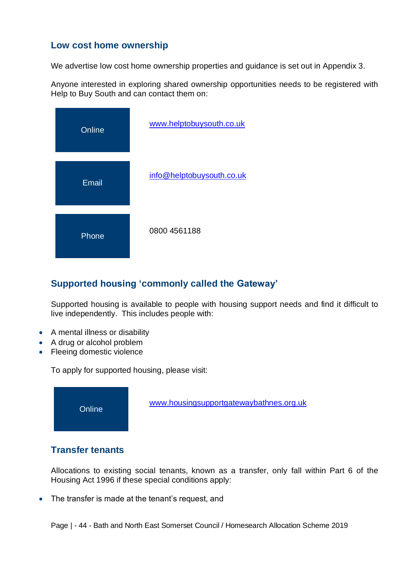# **Low cost home ownership**

We advertise low cost home ownership properties and guidance is set out in Appendix 3.

Anyone interested in exploring shared ownership opportunities needs to be registered with Help to Buy South and can contact them on:



# **Supported housing 'commonly called the Gateway'**

Supported housing is available to people with housing support needs and find it difficult to live independently. This includes people with:

- A mental illness or disability
- A drug or alcohol problem
- Fleeing domestic violence

To apply for supported housing, please visit:



Allocations to existing social tenants, known as a transfer, only fall within Part 6 of the Housing Act 1996 if these special conditions apply:

• The transfer is made at the tenant's request, and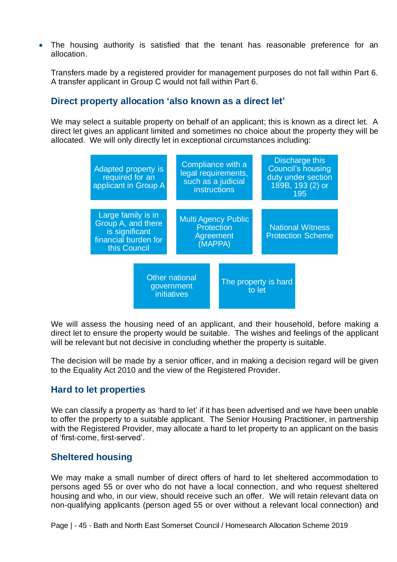• The housing authority is satisfied that the tenant has reasonable preference for an allocation.

Transfers made by a registered provider for management purposes do not fall within Part 6. A transfer applicant in Group C would not fall within Part 6.

# **Direct property allocation 'also known as a direct let'**

We may select a suitable property on behalf of an applicant; this is known as a direct let. A direct let gives an applicant limited and sometimes no choice about the property they will be allocated. We will only directly let in exceptional circumstances including:



We will assess the housing need of an applicant, and their household, before making a direct let to ensure the property would be suitable. The wishes and feelings of the applicant will be relevant but not decisive in concluding whether the property is suitable.

The decision will be made by a senior officer, and in making a decision regard will be given to the Equality Act 2010 and the view of the Registered Provider.

# **Hard to let properties**

We can classify a property as 'hard to let' if it has been advertised and we have been unable to offer the property to a suitable applicant. The Senior Housing Practitioner, in partnership with the Registered Provider, may allocate a hard to let property to an applicant on the basis of 'first-come, first-served'.

# **Sheltered housing**

We may make a small number of direct offers of hard to let sheltered accommodation to persons aged 55 or over who do not have a local connection, and who request sheltered housing and who, in our view, should receive such an offer. We will retain relevant data on non-qualifying applicants (person aged 55 or over without a relevant local connection) and

Page | - 45 - Bath and North East Somerset Council / Homesearch Allocation Scheme 2019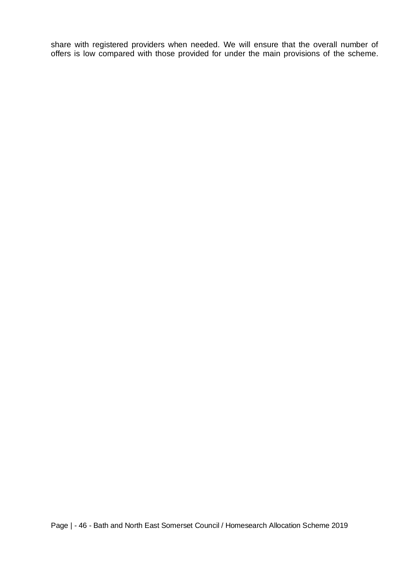share with registered providers when needed. We will ensure that the overall number of offers is low compared with those provided for under the main provisions of the scheme.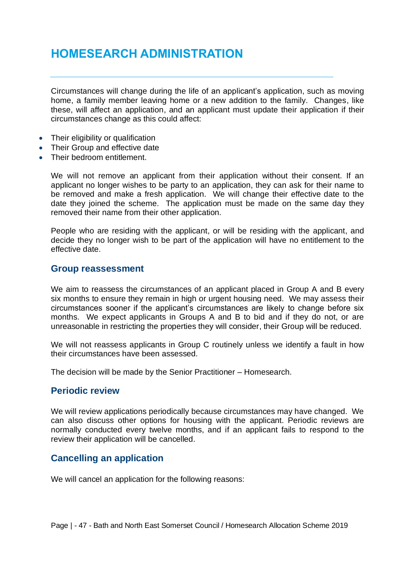# <span id="page-46-0"></span>**HOMESEARCH ADMINISTRATION**

Circumstances will change during the life of an applicant's application, such as moving home, a family member leaving home or a new addition to the family. Changes, like these, will affect an application, and an applicant must update their application if their circumstances change as this could affect:

- Their eligibility or qualification
- Their Group and effective date
- Their bedroom entitlement.

We will not remove an applicant from their application without their consent. If an applicant no longer wishes to be party to an application, they can ask for their name to be removed and make a fresh application. We will change their effective date to the date they joined the scheme. The application must be made on the same day they removed their name from their other application.

People who are residing with the applicant, or will be residing with the applicant, and decide they no longer wish to be part of the application will have no entitlement to the effective date.

#### **Group reassessment**

We aim to reassess the circumstances of an applicant placed in Group A and B every six months to ensure they remain in high or urgent housing need. We may assess their circumstances sooner if the applicant's circumstances are likely to change before six months. We expect applicants in Groups A and B to bid and if they do not, or are unreasonable in restricting the properties they will consider, their Group will be reduced.

We will not reassess applicants in Group C routinely unless we identify a fault in how their circumstances have been assessed.

The decision will be made by the Senior Practitioner – Homesearch.

#### **Periodic review**

We will review applications periodically because circumstances may have changed. We can also discuss other options for housing with the applicant. Periodic reviews are normally conducted every twelve months, and if an applicant fails to respond to the review their application will be cancelled.

# **Cancelling an application**

We will cancel an application for the following reasons: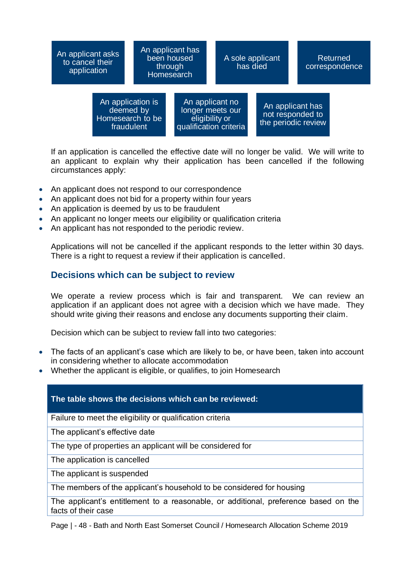An applicant asks to cancel their application

An applicant has been housed through **Homesearch** 

A sole applicant has died

Returned correspondence

An application is deemed by Homesearch to be fraudulent

An applicant no longer meets our eligibility or qualification criteria

An applicant has not responded to the periodic review

If an application is cancelled the effective date will no longer be valid. We will write to an applicant to explain why their application has been cancelled if the following circumstances apply:

- An applicant does not respond to our correspondence
- An applicant does not bid for a property within four years
- An application is deemed by us to be fraudulent
- An applicant no longer meets our eligibility or qualification criteria
- An applicant has not responded to the periodic review.

Applications will not be cancelled if the applicant responds to the letter within 30 days. There is a right to request a review if their application is cancelled.

# **Decisions which can be subject to review**

We operate a review process which is fair and transparent. We can review an application if an applicant does not agree with a decision which we have made. They should write giving their reasons and enclose any documents supporting their claim.

Decision which can be subject to review fall into two categories:

- The facts of an applicant's case which are likely to be, or have been, taken into account in considering whether to allocate accommodation
- Whether the applicant is eligible, or qualifies, to join Homesearch

# **The table shows the decisions which can be reviewed:**

Failure to meet the eligibility or qualification criteria

The applicant's effective date

The type of properties an applicant will be considered for

The application is cancelled

The applicant is suspended

The members of the applicant's household to be considered for housing

The applicant's entitlement to a reasonable, or additional, preference based on the facts of their case

Page | - 48 - Bath and North East Somerset Council / Homesearch Allocation Scheme 2019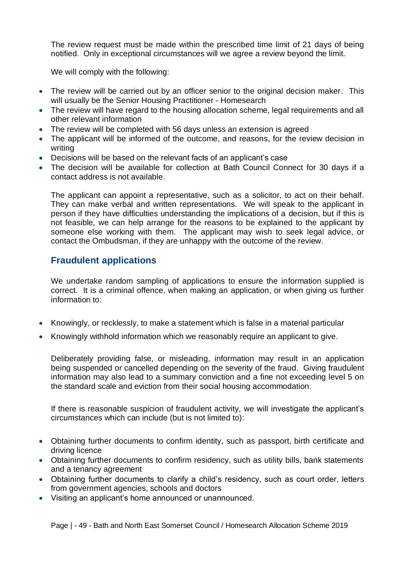The review request must be made within the prescribed time limit of 21 days of being notified. Only in exceptional circumstances will we agree a review beyond the limit.

We will comply with the following:

- The review will be carried out by an officer senior to the original decision maker. This will usually be the Senior Housing Practitioner - Homesearch
- The review will have regard to the housing allocation scheme, legal requirements and all other relevant information
- The review will be completed with 56 days unless an extension is agreed
- The applicant will be informed of the outcome, and reasons, for the review decision in writing
- Decisions will be based on the relevant facts of an applicant's case
- The decision will be available for collection at Bath Council Connect for 30 days if a contact address is not available.

The applicant can appoint a representative, such as a solicitor, to act on their behalf. They can make verbal and written representations. We will speak to the applicant in person if they have difficulties understanding the implications of a decision, but if this is not feasible, we can help arrange for the reasons to be explained to the applicant by someone else working with them. The applicant may wish to seek legal advice, or contact the Ombudsman, if they are unhappy with the outcome of the review.

# **Fraudulent applications**

We undertake random sampling of applications to ensure the information supplied is correct. It is a criminal offence, when making an application, or when giving us further information to:

- Knowingly, or recklessly, to make a statement which is false in a material particular
- Knowingly withhold information which we reasonably require an applicant to give.

Deliberately providing false, or misleading, information may result in an application being suspended or cancelled depending on the severity of the fraud. Giving fraudulent information may also lead to a summary conviction and a fine not exceeding level 5 on the standard scale and eviction from their social housing accommodation.

If there is reasonable suspicion of fraudulent activity, we will investigate the applicant's circumstances which can include (but is not limited to):

- Obtaining further documents to confirm identity, such as passport, birth certificate and driving licence
- Obtaining further documents to confirm residency, such as utility bills, bank statements and a tenancy agreement
- Obtaining further documents to clarify a child's residency, such as court order, letters from government agencies, schools and doctors
- Visiting an applicant's home announced or unannounced.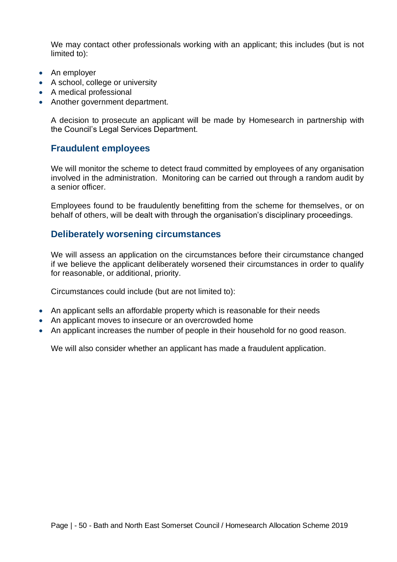We may contact other professionals working with an applicant; this includes (but is not limited to):

- An employer
- A school, college or university
- A medical professional
- Another government department.

A decision to prosecute an applicant will be made by Homesearch in partnership with the Council's Legal Services Department.

# **Fraudulent employees**

We will monitor the scheme to detect fraud committed by employees of any organisation involved in the administration. Monitoring can be carried out through a random audit by a senior officer.

Employees found to be fraudulently benefitting from the scheme for themselves, or on behalf of others, will be dealt with through the organisation's disciplinary proceedings.

# <span id="page-49-1"></span>**Deliberately worsening circumstances**

We will assess an application on the circumstances before their circumstance changed if we believe the applicant deliberately worsened their circumstances in order to qualify for reasonable, or additional, priority.

Circumstances could include (but are not limited to):

- An applicant sells an affordable property which is reasonable for their needs
- An applicant moves to insecure or an overcrowded home
- An applicant increases the number of people in their household for no good reason.

<span id="page-49-0"></span>We will also consider whether an applicant has made a fraudulent application.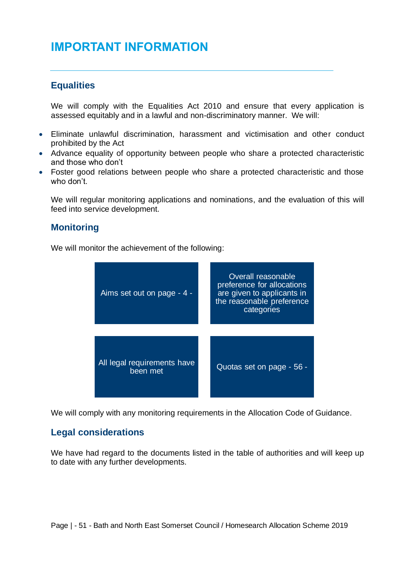# **IMPORTANT INFORMATION**

# **Equalities**

We will comply with the Equalities Act 2010 and ensure that every application is assessed equitably and in a lawful and non-discriminatory manner. We will:

- Eliminate unlawful discrimination, harassment and victimisation and other conduct prohibited by the Act
- Advance equality of opportunity between people who share a protected characteristic and those who don't
- Foster good relations between people who share a protected characteristic and those who don't.

We will regular monitoring applications and nominations, and the evaluation of this will feed into service development.

# **Monitoring**

We will monitor the achievement of the following:



We will comply with any monitoring requirements in the Allocation Code of Guidance.

# **Legal considerations**

We have had regard to the documents listed in the table of authorities and will keep up to date with any further developments.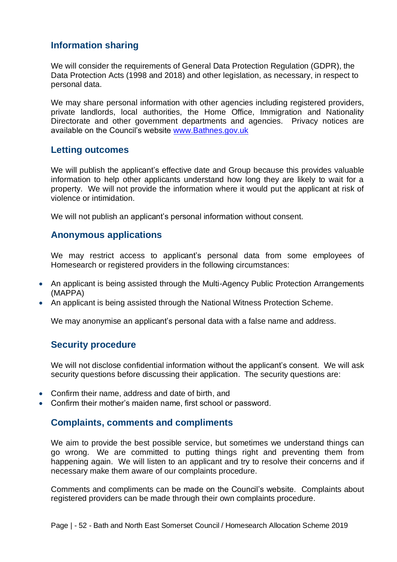# **Information sharing**

We will consider the requirements of General Data Protection Regulation (GDPR), the Data Protection Acts (1998 and 2018) and other legislation, as necessary, in respect to personal data.

We may share personal information with other agencies including registered providers, private landlords, local authorities, the Home Office, Immigration and Nationality Directorate and other government departments and agencies. Privacy notices are available on the Council's website [www.Bathnes.gov.uk](http://www.bathnes.gov.uk/)

# **Letting outcomes**

We will publish the applicant's effective date and Group because this provides valuable information to help other applicants understand how long they are likely to wait for a property. We will not provide the information where it would put the applicant at risk of violence or intimidation.

We will not publish an applicant's personal information without consent.

# **Anonymous applications**

We may restrict access to applicant's personal data from some employees of Homesearch or registered providers in the following circumstances:

- An applicant is being assisted through the Multi-Agency Public Protection Arrangements (MAPPA)
- An applicant is being assisted through the National Witness Protection Scheme.

We may anonymise an applicant's personal data with a false name and address.

# **Security procedure**

We will not disclose confidential information without the applicant's consent. We will ask security questions before discussing their application. The security questions are:

- Confirm their name, address and date of birth, and
- Confirm their mother's maiden name, first school or password.

# **Complaints, comments and compliments**

We aim to provide the best possible service, but sometimes we understand things can go wrong. We are committed to putting things right and preventing them from happening again. We will listen to an applicant and try to resolve their concerns and if necessary make them aware of our complaints procedure.

Comments and compliments can be made on the Council's website. Complaints about registered providers can be made through their own complaints procedure.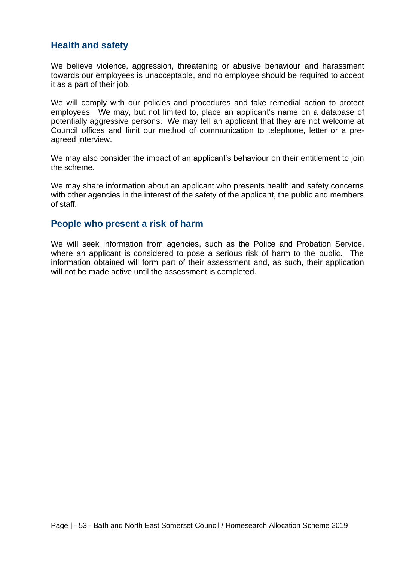# **Health and safety**

We believe violence, aggression, threatening or abusive behaviour and harassment towards our employees is unacceptable, and no employee should be required to accept it as a part of their job.

We will comply with our policies and procedures and take remedial action to protect employees. We may, but not limited to, place an applicant's name on a database of potentially aggressive persons. We may tell an applicant that they are not welcome at Council offices and limit our method of communication to telephone, letter or a preagreed interview.

We may also consider the impact of an applicant's behaviour on their entitlement to join the scheme.

We may share information about an applicant who presents health and safety concerns with other agencies in the interest of the safety of the applicant, the public and members of staff.

# **People who present a risk of harm**

We will seek information from agencies, such as the Police and Probation Service, where an applicant is considered to pose a serious risk of harm to the public. The information obtained will form part of their assessment and, as such, their application will not be made active until the assessment is completed.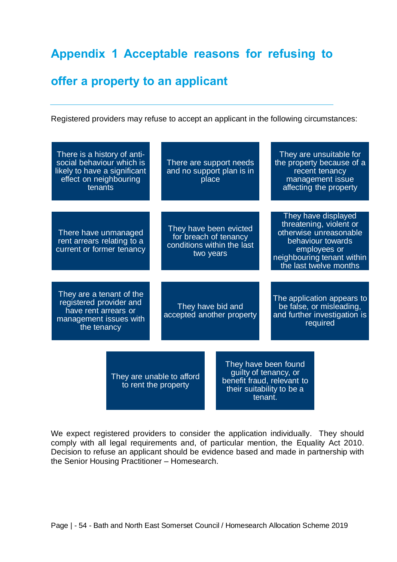# <span id="page-53-1"></span><span id="page-53-0"></span>**Appendix 1 Acceptable reasons for refusing to**

# **offer a property to an applicant**

Registered providers may refuse to accept an applicant in the following circumstances:

| There is a history of anti-<br>social behaviour which is<br>likely to have a significant<br>effect on neighbouring<br>tenants                                          |                                                   | There are support needs<br>and no support plan is in                                       | place |                                                                            |         |                                                                                                    | They are unsuitable for<br>the property because of a<br>recent tenancy<br>management issue<br>affecting the property                                                  |
|------------------------------------------------------------------------------------------------------------------------------------------------------------------------|---------------------------------------------------|--------------------------------------------------------------------------------------------|-------|----------------------------------------------------------------------------|---------|----------------------------------------------------------------------------------------------------|-----------------------------------------------------------------------------------------------------------------------------------------------------------------------|
| There have unmanaged<br>rent arrears relating to a<br>current or former tenancy                                                                                        |                                                   | They have been evicted<br>for breach of tenancy<br>conditions within the last<br>two years |       |                                                                            |         |                                                                                                    | They have displayed<br>threatening, violent or<br>otherwise unreasonable<br>behaviour towards<br>employees or<br>neighbouring tenant within<br>the last twelve months |
| They are a tenant of the<br>registered provider and<br>They have bid and<br>have rent arrears or<br>accepted another property<br>management issues with<br>the tenancy |                                                   |                                                                                            |       |                                                                            |         | The application appears to<br>be false, or misleading,<br>and further investigation is<br>required |                                                                                                                                                                       |
|                                                                                                                                                                        | They are unable to afford<br>to rent the property |                                                                                            |       | They have been found<br>guilty of tenancy, or<br>their suitability to be a | tenant. | benefit fraud, relevant to                                                                         |                                                                                                                                                                       |

We expect registered providers to consider the application individually. They should comply with all legal requirements and, of particular mention, the Equality Act 2010. Decision to refuse an applicant should be evidence based and made in partnership with the Senior Housing Practitioner – Homesearch.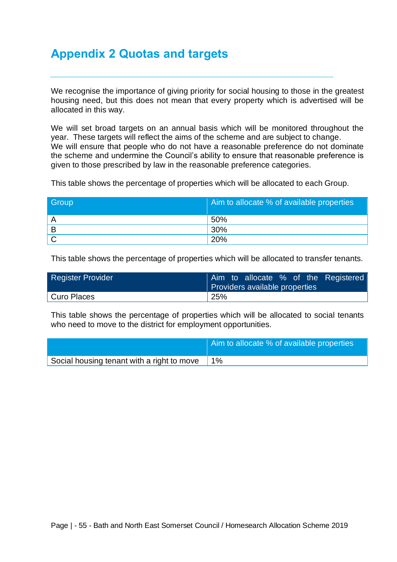# <span id="page-54-1"></span><span id="page-54-0"></span>**Appendix 2 Quotas and targets**

We recognise the importance of giving priority for social housing to those in the greatest housing need, but this does not mean that every property which is advertised will be allocated in this way.

We will set broad targets on an annual basis which will be monitored throughout the year. These targets will reflect the aims of the scheme and are subject to change. We will ensure that people who do not have a reasonable preference do not dominate the scheme and undermine the Council's ability to ensure that reasonable preference is given to those prescribed by law in the reasonable preference categories.

This table shows the percentage of properties which will be allocated to each Group.

| Group | Aim to allocate % of available properties |
|-------|-------------------------------------------|
|       | 50%                                       |
| B     | $30\%$                                    |
|       | 20%                                       |

This table shows the percentage of properties which will be allocated to transfer tenants.

| Register Provider  | Aim to allocate % of the Registered<br>Providers available properties |
|--------------------|-----------------------------------------------------------------------|
| <b>Curo Places</b> | $^{\prime}$ 25%                                                       |

This table shows the percentage of properties which will be allocated to social tenants who need to move to the district for employment opportunities.

|                                            | Aim to allocate % of available properties |
|--------------------------------------------|-------------------------------------------|
| Social housing tenant with a right to move | 1%                                        |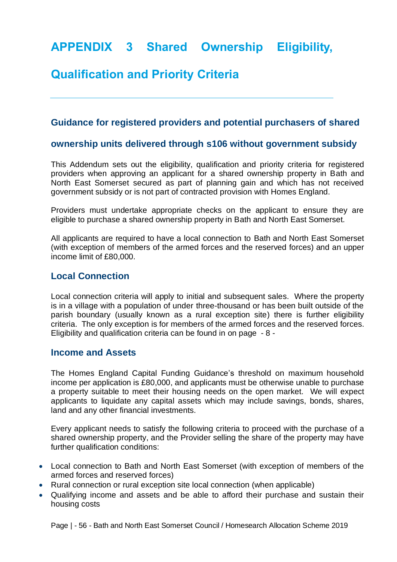# <span id="page-55-1"></span><span id="page-55-0"></span>**Qualification and Priority Criteria**

# **Guidance for registered providers and potential purchasers of shared**

# **ownership units delivered through s106 without government subsidy**

This Addendum sets out the eligibility, qualification and priority criteria for registered providers when approving an applicant for a shared ownership property in Bath and North East Somerset secured as part of planning gain and which has not received government subsidy or is not part of contracted provision with Homes England.

Providers must undertake appropriate checks on the applicant to ensure they are eligible to purchase a shared ownership property in Bath and North East Somerset.

All applicants are required to have a local connection to Bath and North East Somerset (with exception of members of the armed forces and the reserved forces) and an upper income limit of £80,000.

# **Local Connection**

Local connection criteria will apply to initial and subsequent sales. Where the property is in a village with a population of under three-thousand or has been built outside of the parish boundary (usually known as a rural exception site) there is further eligibility criteria. The only exception is for members of the armed forces and the reserved forces. Eligibility and qualification criteria can be found in on page - [8 -](#page-7-0)

#### **Income and Assets**

The Homes England Capital Funding Guidance's threshold on maximum household income per application is £80,000, and applicants must be otherwise unable to purchase a property suitable to meet their housing needs on the open market. We will expect applicants to liquidate any capital assets which may include savings, bonds, shares, land and any other financial investments.

Every applicant needs to satisfy the following criteria to proceed with the purchase of a shared ownership property, and the Provider selling the share of the property may have further qualification conditions:

- Local connection to Bath and North East Somerset (with exception of members of the armed forces and reserved forces)
- Rural connection or rural exception site local connection (when applicable)
- Qualifying income and assets and be able to afford their purchase and sustain their housing costs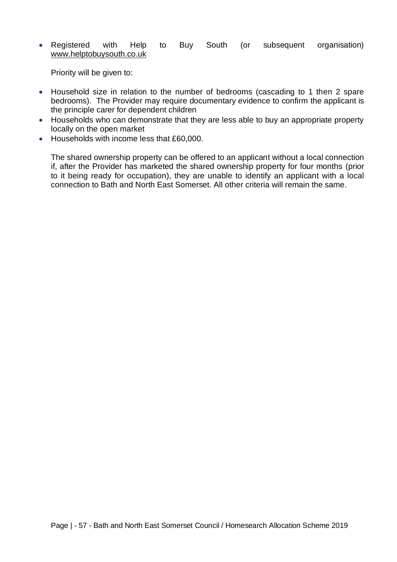• Registered with Help to Buy South (or subsequent organisation) [www.helptobuysouth.co.uk](http://www.helptobuysouth.co.uk/)

Priority will be given to:

- Household size in relation to the number of bedrooms (cascading to 1 then 2 spare bedrooms). The Provider may require documentary evidence to confirm the applicant is the principle carer for dependent children
- Households who can demonstrate that they are less able to buy an appropriate property locally on the open market
- Households with income less that £60,000.

The shared ownership property can be offered to an applicant without a local connection if, after the Provider has marketed the shared ownership property for four months (prior to it being ready for occupation), they are unable to identify an applicant with a local connection to Bath and North East Somerset. All other criteria will remain the same.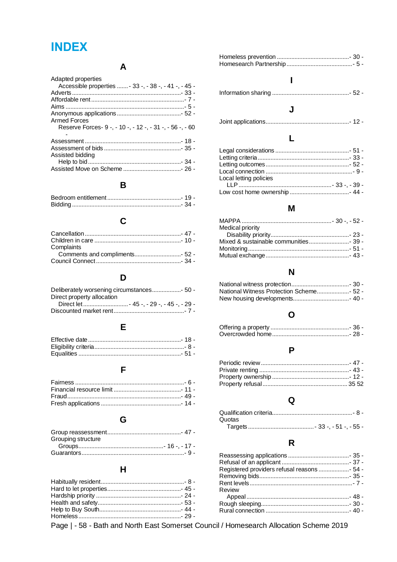# <span id="page-57-0"></span>**INDEX**

# $\mathbf{A}$

| Adapted properties                                        |  |
|-----------------------------------------------------------|--|
| Accessible properties  - 33 -, - 38 -, - 41 -, - 45 -     |  |
|                                                           |  |
|                                                           |  |
|                                                           |  |
|                                                           |  |
| <b>Armed Forces</b>                                       |  |
| Reserve Forces- 9 -, - 10 -, - 12 -, - 31 -, - 56 -, - 60 |  |
|                                                           |  |
|                                                           |  |
|                                                           |  |
| Assisted bidding                                          |  |
|                                                           |  |
|                                                           |  |
|                                                           |  |

# $\mathbf B$

# $\mathbf C$

| Complaints |  |
|------------|--|
|            |  |
|            |  |
|            |  |

# $\mathbf D$

| Direct property allocation |                                                  |
|----------------------------|--------------------------------------------------|
|                            | Direct let        - 45 -. - 29 -. - 45 -. - 29 - |
|                            |                                                  |

# E

#### F

# G

| Grouping structure |  |
|--------------------|--|
|                    |  |
|                    |  |

#### $H$

# $\overline{\mathbf{I}}$

|--|--|--|

# $\mathbf J$

# $\mathbf{L}$

| Local letting policies |  |
|------------------------|--|
|                        |  |
|                        |  |
|                        |  |

# M

| Mixed & sustainable communities 39 - |
|--------------------------------------|
|                                      |
|                                      |
|                                      |

# $\overline{\mathsf{N}}$

# $\mathbf 0$

# $\mathsf{P}$

# $\mathbf Q$

| Quotas |  |
|--------|--|
|        |  |

# $\overline{\mathsf{R}}$

| Registered providers refusal reasons 54 - |  |
|-------------------------------------------|--|
|                                           |  |
|                                           |  |
| Review                                    |  |
|                                           |  |
|                                           |  |
|                                           |  |

Page | - 58 - Bath and North East Somerset Council / Homesearch Allocation Scheme 2019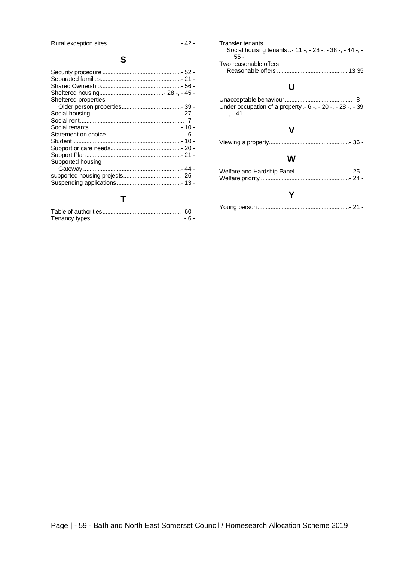|--|--|--|--|

# **S**

| Sheltered properties |  |
|----------------------|--|
|                      |  |
|                      |  |
|                      |  |
|                      |  |
|                      |  |
|                      |  |
|                      |  |
|                      |  |
| Supported housing    |  |
|                      |  |
|                      |  |
|                      |  |
|                      |  |

# **T**

| Transfer tenants                                                      |
|-----------------------------------------------------------------------|
| Social houisng tenants - 11 -, - 28 -, - 38 -, - 44 -, -<br>55 -      |
| Two reasonable offers                                                 |
|                                                                       |
|                                                                       |
| Under occupation of a property $. -6 - -20 - -28 - -39$<br>$- - 41 -$ |
|                                                                       |
|                                                                       |
| w                                                                     |
|                                                                       |
|                                                                       |
|                                                                       |

#### **Y**

|--|--|--|--|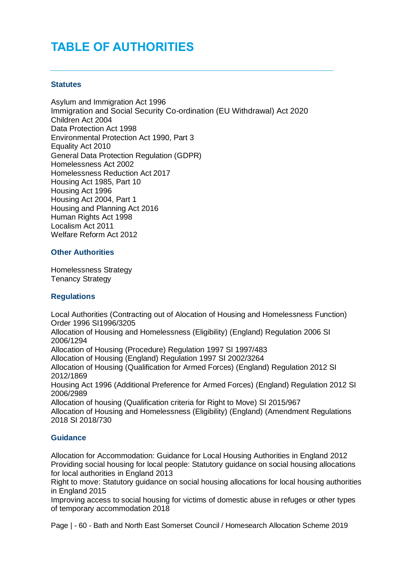# <span id="page-59-0"></span>**TABLE OF AUTHORITIES**

#### **Statutes**

Asylum and Immigration Act 1996 Immigration and Social Security Co-ordination (EU Withdrawal) Act 2020 Children Act 2004 Data Protection Act 1998 Environmental Protection Act 1990, Part 3 Equality Act 2010 General Data Protection Regulation (GDPR) Homelessness Act 2002 Homelessness Reduction Act 2017 Housing Act 1985, Part 10 Housing Act 1996 Housing Act 2004, Part 1 Housing and Planning Act 2016 Human Rights Act 1998 Localism Act 2011 Welfare Reform Act 2012

#### **Other Authorities**

Homelessness Strategy Tenancy Strategy

#### **Regulations**

Local Authorities (Contracting out of Alocation of Housing and Homelessness Function) Order 1996 SI1996/3205 Allocation of Housing and Homelessness (Eligibility) (England) Regulation 2006 SI 2006/1294 Allocation of Housing (Procedure) Regulation 1997 SI 1997/483 Allocation of Housing (England) Regulation 1997 SI 2002/3264 Allocation of Housing (Qualification for Armed Forces) (England) Regulation 2012 SI 2012/1869 Housing Act 1996 (Additional Preference for Armed Forces) (England) Regulation 2012 SI 2006/2989 Allocation of housing (Qualification criteria for Right to Move) SI 2015/967 Allocation of Housing and Homelessness (Eligibility) (England) (Amendment Regulations 2018 SI 2018/730

#### **Guidance**

Allocation for Accommodation: Guidance for Local Housing Authorities in England 2012 Providing social housing for local people: Statutory guidance on social housing allocations for local authorities in England 2013

Right to move: Statutory guidance on social housing allocations for local housing authorities in England 2015

Improving access to social housing for victims of domestic abuse in refuges or other types of temporary accommodation 2018

Page | - 60 - Bath and North East Somerset Council / Homesearch Allocation Scheme 2019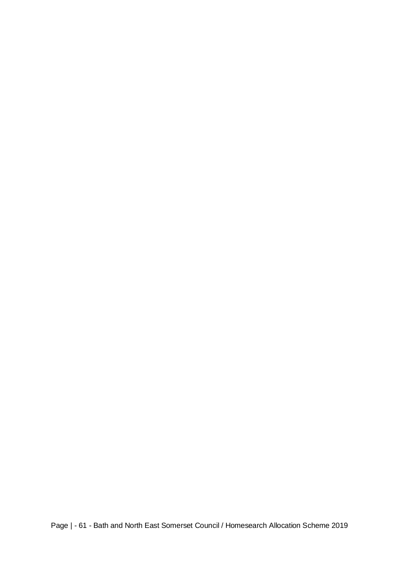Page | - 61 - Bath and North East Somerset Council / Homesearch Allocation Scheme 2019